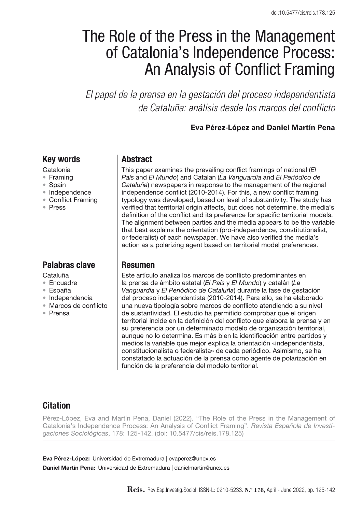# The Role of the Press in the Management of Catalonia's Independence Process: An Analysis of Conflict Framing

*El papel de la prensa en la gestación del proceso independentista de Cataluña: análisis desde los marcos del conflicto*

**Eva Pérez-López and Daniel Martín Pena**

### Key words

- Catalonia
- • Framing
- • Spain
- • Independence
- Conflict Framing
- • Press

# Palabras clave

- Cataluña
- • Encuadre
- • España
- • Independencia
- • Marcos de conflicto
- • Prensa

## **Abstract**

This paper examines the prevailing conflict framings of national (*El País* and *El Mundo*) and Catalan (*La Vanguardia* and *El Periódico de Cataluña*) newspapers in response to the management of the regional independence conflict (2010-2014). For this, a new conflict framing typology was developed, based on level of substantivity. The study has verified that territorial origin affects, but does not determine, the media's definition of the conflict and its preference for specific territorial models. The alignment between parties and the media appears to be the variable that best explains the orientation (pro-independence, constitutionalist, or federalist) of each newspaper. We have also verified the media's action as a polarizing agent based on territorial model preferences.

# Resumen

Este artículo analiza los marcos de conflicto predominantes en la prensa de ámbito estatal (*El País* y *El Mundo*) y catalán (*La Vanguardia* y *El Periódico de Cataluña*) durante la fase de gestación del proceso independentista (2010-2014). Para ello, se ha elaborado una nueva tipología sobre marcos de conflicto atendiendo a su nivel de sustantividad. El estudio ha permitido comprobar que el origen territorial incide en la definición del conflicto que elabora la prensa y en su preferencia por un determinado modelo de organización territorial, aunque no lo determina. Es más bien la identificación entre partidos y medios la variable que mejor explica la orientación «independentista, constitucionalista o federalista» de cada periódico. Asimismo, se ha constatado la actuación de la prensa como agente de polarización en función de la preferencia del modelo territorial.

# **Citation**

Pérez-López, Eva and Martín Pena, Daniel (2022). "The Role of the Press in the Management of Catalonia's Independence Process: An Analysis of Conflict Framing". *Revista Española de Investigaciones Sociológicas*, 178: 125-142. (doi: 10.5477/cis/reis.178.125)

Eva Pérez-López: Universidad de Extremadura | evaperez@unex.es Daniel Martín Pena: Universidad de Extremadura | danielmartin@unex.es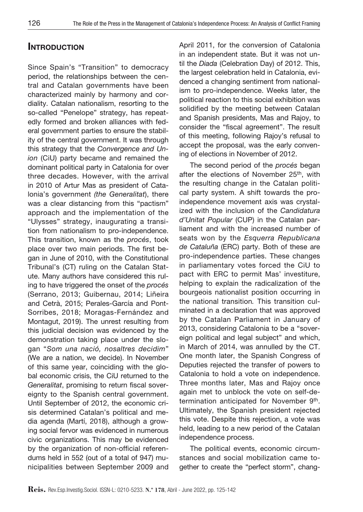# **INTRODUCTION**

Since Spain's "Transition" to democracy period, the relationships between the central and Catalan governments have been characterized mainly by harmony and cordiality. Catalan nationalism, resorting to the so-called "Penelope" strategy, has repeatedly formed and broken alliances with federal government parties to ensure the stability of the central government. It was through this strategy that the *Convergence and Union* (CiU) party became and remained the dominant political party in Catalonia for over three decades. However, with the arrival in 2010 of Artur Mas as president of Catalonia's government *(the Generalitat*), there was a clear distancing from this "pactism" approach and the implementation of the "Ulysses" strategy, inaugurating a transition from nationalism to pro-independence. This transition, known as the *procés*, took place over two main periods. The first began in June of 2010, with the Constitutional Tribunal's (CT) ruling on the Catalan Statute. Many authors have considered this ruling to have triggered the onset of the *procés* (Serrano, 2013; Guibernau, 2014; Liñeira and Cetrà, 2015; Perales-García and Pont-Sorribes, 2018; Moragas-Fernández and Montagut, 2019). The unrest resulting from this judicial decision was evidenced by the demonstration taking place under the slogan "*Som una nació, nosaltres decidim*" (We are a nation, we decide). In November of this same year, coinciding with the global economic crisis, the CiU returned to the *Generalitat*, promising to return fiscal sovereignty to the Spanish central government. Until September of 2012, the economic crisis determined Catalan's political and media agenda (Martí, 2018), although a growing social fervor was evidenced in numerous civic organizations. This may be evidenced by the organization of non-official referendums held in 552 (out of a total of 947) municipalities between September 2009 and

April 2011, for the conversion of Catalonia in an independent state. But it was not until the *Diada* (Celebration Day) of 2012. This, the largest celebration held in Catalonia, evidenced a changing sentiment from nationalism to pro-independence. Weeks later, the political reaction to this social exhibition was solidified by the meeting between Catalan and Spanish presidents, Mas and Rajoy, to consider the "fiscal agreement". The result of this meeting, following Rajoy's refusal to accept the proposal, was the early convening of elections in November of 2012.

The second period of the *procés* began after the elections of November 25<sup>th</sup>, with the resulting change in the Catalan political party system. A shift towards the proindependence movement axis was crystalized with the inclusion of the *Candidatura d'Unitat Popular* (CUP) in the Catalan parliament and with the increased number of seats won by the *Esquerra Republicana de Cataluña* (ERC) party. Both of these are pro-independence parties. These changes in parliamentary votes forced the CiU to pact with ERC to permit Mas' investiture, helping to explain the radicalization of the bourgeois nationalist position occurring in the national transition*.* This transition culminated in a declaration that was approved by the Catalan Parliament in January of 2013, considering Catalonia to be a "sovereign political and legal subject" and which, in March of 2014, was annulled by the CT. One month later, the Spanish Congress of Deputies rejected the transfer of powers to Catalonia to hold a vote on independence. Three months later, Mas and Rajoy once again met to unblock the vote on self-determination anticipated for November 9<sup>th</sup>. Ultimately, the Spanish president rejected this vote. Despite this rejection, a vote was held, leading to a new period of the Catalan independence process.

The political events, economic circumstances and social mobilization came together to create the "perfect storm", chang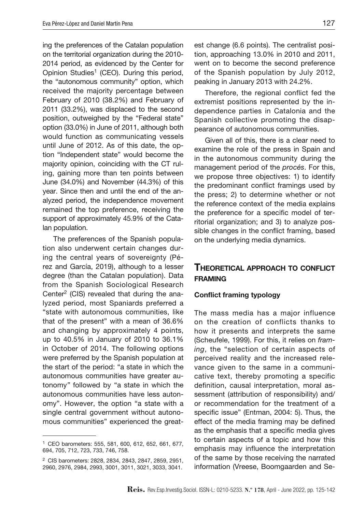ing the preferences of the Catalan population on the territorial organization during the 2010- 2014 period, as evidenced by the Center for Opinion Studies<sup>1</sup> (CEO). During this period, the "autonomous community" option, which received the majority percentage between February of 2010 (38.2%) and February of 2011 (33.2%), was displaced to the second position, outweighed by the "Federal state" option (33.0%) in June of 2011, although both would function as communicating vessels until June of 2012. As of this date, the option "Independent state" would become the majority opinion, coinciding with the CT ruling, gaining more than ten points between June (34.0%) and November (44.3%) of this year. Since then and until the end of the analyzed period, the independence movement remained the top preference, receiving the support of approximately 45.9% of the Catalan population.

The preferences of the Spanish population also underwent certain changes during the central years of sovereignty (Pérez and García, 2019), although to a lesser degree (than the Catalan population). Data from the Spanish Sociological Research Center<sup>2</sup> (CIS) revealed that during the analyzed period, most Spaniards preferred a "state with autonomous communities, like that of the present" with a mean of 36.6% and changing by approximately 4 points, up to 40.5% in January of 2010 to 36.1% in October of 2014. The following options were preferred by the Spanish population at the start of the period: "a state in which the autonomous communities have greater autonomy*"* followed by "a state in which the autonomous communities have less autonomy". However, the option "a state with a single central government without autonomous communities" experienced the great-

est change (6.6 points). The centralist position, approaching 13.0% in 2010 and 2011, went on to become the second preference of the Spanish population by July 2012, peaking in January 2013 with 24.2%.

Therefore, the regional conflict fed the extremist positions represented by the independence parties in Catalonia and the Spanish collective promoting the disappearance of autonomous communities.

Given all of this, there is a clear need to examine the role of the press in Spain and in the autonomous community during the management period of the *procés*. For this, we propose three objectives: 1) to identify the predominant conflict framings used by the press; 2) to determine whether or not the reference context of the media explains the preference for a specific model of territorial organization; and 3) to analyze possible changes in the conflict framing, based on the underlying media dynamics.

### Theoretical approach to conflict **FRAMING**

#### Conflict framing typology

The mass media has a major influence on the creation of conflicts thanks to how it presents and interprets the same (Scheufele, 1999). For this, it relies on *framing*, the "selection of certain aspects of perceived reality and the increased relevance given to the same in a communicative text, thereby promoting a specific definition, causal interpretation, moral assessment (attribution of responsibility) and/ or recommendation for the treatment of a specific issue" (Entman, 2004: 5). Thus, the effect of the media framing may be defined as the emphasis that a specific media gives to certain aspects of a topic and how this emphasis may influence the interpretation of the same by those receiving the narrated information (Vreese, Boomgaarden and Se-

<sup>1</sup> CEO barometers: 555, 581, 600, 612, 652, 661, 677, 694, 705, 712, 723, 733, 746, 758.

<sup>2</sup> CIS barometers: 2828, 2834, 2843, 2847, 2859, 2951, 2960, 2976, 2984, 2993, 3001, 3011, 3021, 3033, 3041.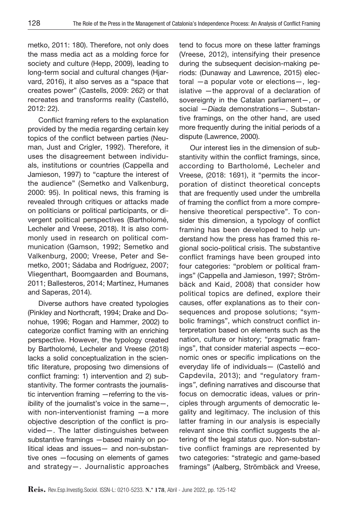metko, 2011: 180). Therefore, not only does the mass media act as a molding force for society and culture (Hepp, 2009), leading to long-term social and cultural changes (Hjarvard, 2016), it also serves as a "space that creates power" (Castells, 2009: 262) or that recreates and transforms reality (Castelló, 2012: 22).

Conflict framing refers to the explanation provided by the media regarding certain key topics of the conflict between parties (Neuman, Just and Crigler, 1992). Therefore, it uses the disagreement between individuals, institutions or countries (Cappella and Jamieson, 1997) to "capture the interest of the audience" (Semetko and Valkenburg, 2000: 95). In political news, this framing is revealed through critiques or attacks made on politicians or political participants, or divergent political perspectives (Bartholomé, Lecheler and Vreese, 2018). It is also commonly used in research on political communication (Gamson, 1992; Semetko and Valkenburg, 2000; Vreese, Peter and Semetko, 2001; Sádaba and Rodríguez, 2007; Vliegenthart, Boomgaarden and Boumans, 2011; Ballesteros, 2014; Martínez, Humanes and Saperas, 2014).

Diverse authors have created typologies (Pinkley and Northcraft, 1994; Drake and Donohue, 1996; Rogan and Hammer, 2002) to categorize conflict framing with an enriching perspective. However, the typology created by Bartholomé, Lecheler and Vreese (2018) lacks a solid conceptualization in the scientific literature, proposing two dimensions of conflict framing: 1) intervention and 2) substantivity. The former contrasts the journalistic intervention framing —referring to the visibility of the journalist's voice in the same—, with non-interventionist framing —a more objective description of the conflict is provided—. The latter distinguishes between substantive framings —based mainly on political ideas and issues— and non-substantive ones —focusing on elements of games and strategy—. Journalistic approaches

tend to focus more on these latter framings (Vreese, 2012), intensifying their presence during the subsequent decision-making periods: (Dunaway and Lawrence, 2015) electoral —a popular vote or elections—, legislative —the approval of a declaration of sovereignty in the Catalan parliament—, or social —*Diada* demonstrations—. Substantive framings, on the other hand, are used more frequently during the initial periods of a dispute (Lawrence, 2000).

Our interest lies in the dimension of substantivity within the conflict framings, since, according to Bartholomé, Lecheler and Vreese, (2018: 1691), it "permits the incorporation of distinct theoretical concepts that are frequently used under the umbrella of framing the conflict from a more comprehensive theoretical perspective". To consider this dimension, a typology of conflict framing has been developed to help understand how the press has framed this regional socio-political crisis. The substantive conflict framings have been grouped into four categories: "problem or political framings" (Cappella and Jamieson, 1997; Strömbäck and Kaid, 2008) that consider how political topics are defined, explore their causes, offer explanations as to their consequences and propose solutions; "symbolic framings", which construct conflict interpretation based on elements such as the nation, culture or history; "pragmatic framings", that consider material aspects —economic ones or specific implications on the everyday life of individuals— (Castelló and Capdevila, 2013); and "regulatory framings*"*, defining narratives and discourse that focus on democratic ideas, values or principles through arguments of democratic legality and legitimacy. The inclusion of this latter framing in our analysis is especially relevant since this conflict suggests the altering of the legal *status quo*. Non-substantive conflict framings are represented by two categories: "strategic and game-based framings" (Aalberg, Strömbäck and Vreese,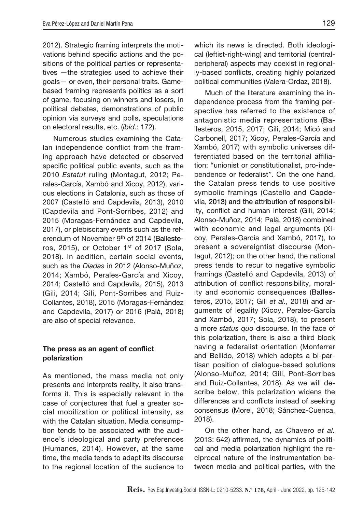2012). Strategic framing interprets the motivations behind specific actions and the positions of the political parties or representatives —the strategies used to achieve their goals— or even, their personal traits. Gamebased framing represents politics as a sort of game, focusing on winners and losers, in political debates, demonstrations of public opinion via surveys and polls, speculations on electoral results, etc. (*ibid*.: 172).

Numerous studies examining the Catalan independence conflict from the framing approach have detected or observed specific political public events, such as the 2010 *Estatut* ruling (Montagut, 2012; Perales-García, Xambó and Xicoy, 2012), various elections in Catalonia, such as those of 2007 (Castelló and Capdevila, 2013), 2010 (Capdevila and Pont-Sorribes, 2012) and 2015 (Moragas-Fernández and Capdevila, 2017), or plebiscitary events such as the referendum of November 9th of 2014 (Ballesteros, 2015), or October 1<sup>st</sup> of 2017 (Sola, 2018). In addition, certain social events, such as the *Diadas* in 2012 (Alonso-Muñoz, 2014; Xambó, Perales-García and Xicoy, 2014; Castelló and Capdevila, 2015), 2013 (Gili, 2014; Gili, Pont-Sorribes and Ruiz-Collantes, 2018), 2015 (Moragas-Fernández and Capdevila, 2017) or 2016 (Palà, 2018) are also of special relevance.

### The press as an agent of conflict polarization

As mentioned, the mass media not only presents and interprets reality, it also transforms it. This is especially relevant in the case of conjectures that fuel a greater social mobilization or political intensity, as with the Catalan situation. Media consumption tends to be associated with the audience's ideological and party preferences (Humanes, 2014). However, at the same time, the media tends to adapt its discourse to the regional location of the audience to

which its news is directed. Both ideological (leftist-right-wing) and territorial (centralperipheral) aspects may coexist in regionally-based conflicts, creating highly polarized political communities (Valera-Ordaz, 2018).

Much of the literature examining the independence process from the framing perspective has referred to the existence of antagonistic media representations (Ballesteros, 2015, 2017; Gili, 2014; Micó and Carbonell, 2017; Xicoy, Perales-García and Xambó, 2017) with symbolic universes differentiated based on the territorial affiliation: "unionist or constitutionalist, pro-independence or federalist*"*. On the one hand, the Catalan press tends to use positive symbolic framings (Castello and Capdevila, 2013) and the attribution of responsibility, conflict and human interest (Gili, 2014; Alonso-Muñoz, 2014; Palà, 2018) combined with economic and legal arguments (Xicoy, Perales-García and Xambó, 2017), to present a sovereigntist discourse (Montagut, 2012); on the other hand, the national press tends to recur to negative symbolic framings (Castelló and Capdevila, 2013) of attribution of conflict responsibility, morality and economic consequences (Ballesteros, 2015, 2017; Gili *et al.*, 2018) and arguments of legality (Xicoy, Perales-García and Xambó, 2017; Sola, 2018), to present a more *status quo* discourse. In the face of this polarization, there is also a third block having a federalist orientation (Monferrer and Bellido, 2018) which adopts a bi-partisan position of dialogue-based solutions (Alonso-Muñoz, 2014; Gili, Pont-Sorribes and Ruiz-Collantes, 2018). As we will describe below, this polarization widens the differences and conflicts instead of seeking consensus (Morel, 2018; Sánchez-Cuenca, 2018).

On the other hand, as Chavero *et al.* (2013: 642) affirmed, the dynamics of political and media polarization highlight the reciprocal nature of the instrumentation between media and political parties, with the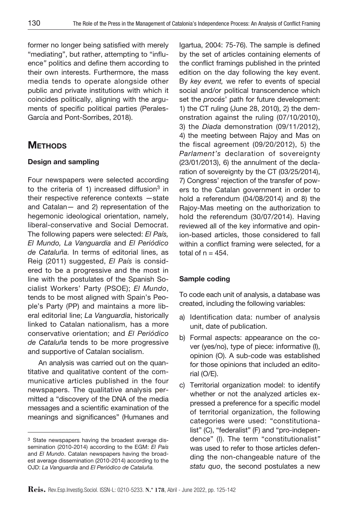former no longer being satisfied with merely "mediating", but rather, attempting to "influence*"* politics and define them according to their own interests. Furthermore, the mass media tends to operate alongside other public and private institutions with which it coincides politically, aligning with the arguments of specific political parties (Perales-García and Pont-Sorribes, 2018).

# **METHODS**

## Design and sampling

Four newspapers were selected according to the criteria of 1) increased diffusion $3$  in their respective reference contexts —state and Catalan— and 2) representation of the hegemonic ideological orientation, namely, liberal-conservative and Social Democrat. The following papers were selected: *El País, El Mundo, La Vanguardia* and *El Periódico de Cataluña.* In terms of editorial lines, as Reig (2011) suggested, *El País* is considered to be a progressive and the most in line with the postulates of the Spanish Socialist Workers' Party (PSOE); *El Mundo*, tends to be most aligned with Spain's People's Party (PP) and maintains a more liberal editorial line; *La Vanguardia*, historically linked to Catalan nationalism, has a more conservative orientation; and *El Periódico de Cataluña* tends to be more progressive and supportive of Catalan socialism.

An analysis was carried out on the quantitative and qualitative content of the communicative articles published in the four newspapers. The qualitative analysis permitted a "discovery of the DNA of the media messages and a scientific examination of the meanings and significances" (Humanes and Igartua, 2004: 75-76). The sample is defined by the set of articles containing elements of the conflict framings published in the printed edition on the day following the key event. By *key event,* we refer to events of special social and/or political transcendence which set the *procés*' path for future development: 1) the CT ruling (June 28, 2010), 2) the demonstration against the ruling (07/10/2010), 3) the *Diada* demonstration (09/11/2012), 4) the meeting between Rajoy and Mas on the fiscal agreement (09/20/2012), 5) the *Parlament's* declaration of sovereignty (23/01/2013), 6) the annulment of the declaration of sovereignty by the CT (03/25/2014), 7) Congress' rejection of the transfer of powers to the Catalan government in order to hold a referendum (04/08/2014) and 8) the Rajoy-Mas meeting on the authorization to hold the referendum (30/07/2014). Having reviewed all of the key informative and opinion-based articles, those considered to fall within a conflict framing were selected, for a total of  $n = 454$ .

### Sample coding

To code each unit of analysis, a database was created, including the following variables:

- a) Identification data: number of analysis unit, date of publication.
- b) Formal aspects: appearance on the cover (yes/no), type of piece: informative (I), opinion (O). A sub-code was established for those opinions that included an editorial (O/E).
- c) Territorial organization model: to identify whether or not the analyzed articles expressed a preference for a specific model of territorial organization, the following categories were used: "constitutionalist" (C), "federalist" (F) and "pro-independence" (I). The term "constitutionalist*"*  was used to refer to those articles defending the non-changeable nature of the *statu quo*, the second postulates a new

<sup>3</sup> State newspapers having the broadest average dissemination (2010-2014) according to the EGM: *El País* and *El Mundo*. Catalan newspapers having the broadest average dissemination (2010-2014) according to the OJD: *La Vanguardia* and *El Periódico de Cataluña.*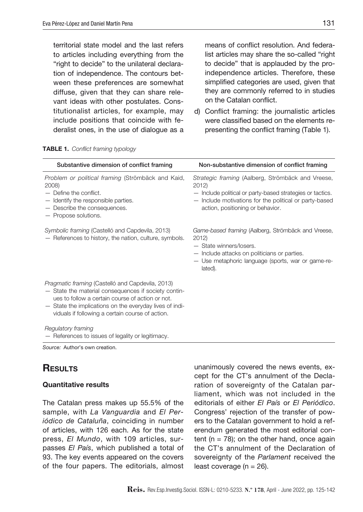territorial state model and the last refers to articles including everything from the "right to decide" to the unilateral declaration of independence. The contours between these preferences are somewhat diffuse, given that they can share relevant ideas with other postulates. Constitutionalist articles, for example, may include positions that coincide with federalist ones, in the use of dialogue as a means of conflict resolution. And federalist articles may share the so-called "right to decide" that is applauded by the proindependence articles. Therefore, these simplified categories are used, given that they are commonly referred to in studies on the Catalan conflict.

d) Conflict framing: the journalistic articles were classified based on the elements representing the conflict framing (Table 1).

| Substantive dimension of conflict framing                                                                                                                                                                                                                                   | Non-substantive dimension of conflict framing                                                                                                                                                                         |
|-----------------------------------------------------------------------------------------------------------------------------------------------------------------------------------------------------------------------------------------------------------------------------|-----------------------------------------------------------------------------------------------------------------------------------------------------------------------------------------------------------------------|
| Problem or political framing (Strömbäck and Kaid,<br>2008)<br>$-$ Define the conflict.<br>- Identify the responsible parties.<br>- Describe the consequences.<br>- Propose solutions.                                                                                       | Strategic framing (Aalberg, Strömbäck and Vreese,<br>2012)<br>- Include political or party-based strategies or tactics.<br>- Include motivations for the political or party-based<br>action, positioning or behavior. |
| Symbolic framing (Castelló and Capdevila, 2013)<br>- References to history, the nation, culture, symbols.                                                                                                                                                                   | Game-based framing (Aalberg, Strömbäck and Vreese,<br>2012)<br>- State winners/losers.<br>- Include attacks on politicians or parties.<br>- Use metaphoric language (sports, war or game-re-<br>lated).               |
| Pragmatic framing (Castelló and Capdevila, 2013)<br>- State the material consequences if society contin-<br>ues to follow a certain course of action or not.<br>- State the implications on the everyday lives of indi-<br>viduals if following a certain course of action. |                                                                                                                                                                                                                       |
| Regulatory framing<br>- References to issues of legality or legitimacy.                                                                                                                                                                                                     |                                                                                                                                                                                                                       |

Table 1. *Conflict framing typology* 

*Source:* Author's own creation.

# **RESULTS**

### Quantitative results

The Catalan press makes up 55.5% of the sample, with *La Vanguardia* and *El Periódico de Cataluña*, coinciding in number of articles, with 126 each. As for the state press, *El Mundo*, with 109 articles, surpasses *El País*, which published a total of 93. The key events appeared on the covers of the four papers. The editorials, almost unanimously covered the news events, except for the CT's annulment of the Declaration of sovereignty of the Catalan parliament, which was not included in the editorials of either *El País* or *El Periódico*. Congress' rejection of the transfer of powers to the Catalan government to hold a referendum generated the most editorial content ( $n = 78$ ); on the other hand, once again the CT's annulment of the Declaration of sovereignty of the *Parlament* received the least coverage ( $n = 26$ ).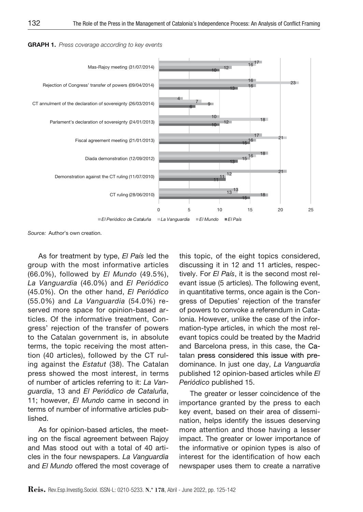

GRAPH 1. *Press coverage according to key events* 

*Source:* Author's own creation.

As for treatment by type, *El País* led the group with the most informative articles (66.0%), followed by *El Mundo* (49.5%), *La Vanguardia* (46.0%) and *El Periódico*  (45.0%). On the other hand, *El Periódico*  (55.0%) and *La Vanguardia* (54.0%) reserved more space for opinion-based articles. Of the informative treatment, Congress' rejection of the transfer of powers to the Catalan government is, in absolute terms, the topic receiving the most attention (40 articles), followed by the CT ruling against the *Estatut* (38). The Catalan press showed the most interest, in terms of number of articles referring to it: *La Vanguardia*, 13 and *El Periódico de Cataluña*, 11; however, *El Mundo* came in second in terms of number of informative articles published.

As for opinion-based articles, the meeting on the fiscal agreement between Rajoy and Mas stood out with a total of 40 articles in the four newspapers. *La Vanguardia* and *El Mundo* offered the most coverage of this topic, of the eight topics considered, discussing it in 12 and 11 articles, respectively. For *El País*, it is the second most relevant issue (5 articles). The following event, in quantitative terms, once again is the Congress of Deputies' rejection of the transfer of powers to convoke a referendum in Catalonia. However, unlike the case of the information-type articles, in which the most relevant topics could be treated by the Madrid and Barcelona press, in this case, the Catalan press considered this issue with predominance. In just one day, *La Vanguardia* published 12 opinion-based articles while *El Periódico* published 15.

The greater or lesser coincidence of the importance granted by the press to each key event, based on their area of dissemination, helps identify the issues deserving more attention and those having a lesser impact. The greater or lower importance of the informative or opinion types is also of interest for the identification of how each newspaper uses them to create a narrative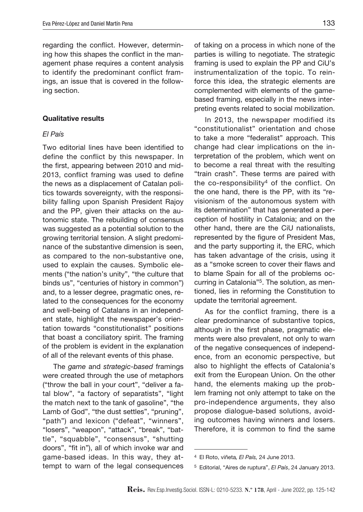regarding the conflict. However, determining how this shapes the conflict in the management phase requires a content analysis to identify the predominant conflict framings, an issue that is covered in the following section.

#### Qualitative results

### *El País*

Two editorial lines have been identified to define the conflict by this newspaper. In the first, appearing between 2010 and mid-2013, conflict framing was used to define the news as a displacement of Catalan politics towards sovereignty, with the responsibility falling upon Spanish President Rajoy and the PP, given their attacks on the autonomic state. The rebuilding of consensus was suggested as a potential solution to the growing territorial tension. A slight predominance of the substantive dimension is seen, as compared to the non-substantive one, used to explain the causes. Symbolic elements ("the nation's unity", "the culture that binds us", "centuries of history in common") and, to a lesser degree, pragmatic ones, related to the consequences for the economy and well-being of Catalans in an independent state, highlight the newspaper's orientation towards "constitutionalist*"* positions that boast a conciliatory spirit. The framing of the problem is evident in the explanation of all of the relevant events of this phase.

The *game* and *strategic-based* framings were created through the use of metaphors ("throw the ball in your court", "deliver a fatal blow", "a factory of separatists", "light the match next to the tank of gasoline", "the Lamb of God", "the dust settles", "pruning", "path") and lexicon ("defeat", "winners", "losers", "weapon", "attack", "break", "battle", "squabble", "consensus", "shutting doors", "fit in"), all of which invoke war and game-based ideas. In this way, they attempt to warn of the legal consequences

of taking on a process in which none of the parties is willing to negotiate. The strategic framing is used to explain the PP and CiU's instrumentalization of the topic. To reinforce this idea, the strategic elements are complemented with elements of the gamebased framing, especially in the news interpreting events related to social mobilization.

In 2013, the newspaper modified its "constitutionalist" orientation and chose to take a more "federalist" approach. This change had clear implications on the interpretation of the problem, which went on to become a real threat with the resulting "train crash". These terms are paired with the co-responsibility<sup>4</sup> of the conflict. On the one hand, there is the PP, with its "revisionism of the autonomous system with its determination" that has generated a perception of hostility in Catalonia; and on the other hand, there are the CiU nationalists, represented by the figure of President Mas, and the party supporting it, the ERC, which has taken advantage of the crisis, using it as a "smoke screen to cover their flaws and to blame Spain for all of the problems occurring in Catalonia"5. The solution, as mentioned, lies in reforming the Constitution to update the territorial agreement.

As for the conflict framing, there is a clear predominance of substantive topics, although in the first phase, pragmatic elements were also prevalent, not only to warn of the negative consequences of independence, from an economic perspective, but also to highlight the effects of Catalonia's exit from the European Union. On the other hand, the elements making up the problem framing not only attempt to take on the pro-independence arguments, they also propose dialogue-based solutions, avoiding outcomes having winners and losers. Therefore, it is common to find the same

<sup>4</sup> El Roto, viñeta*, El País,* 24 June 2013.

<sup>5</sup> Editorial, "Aires de ruptura", *El País*, 24 January 2013.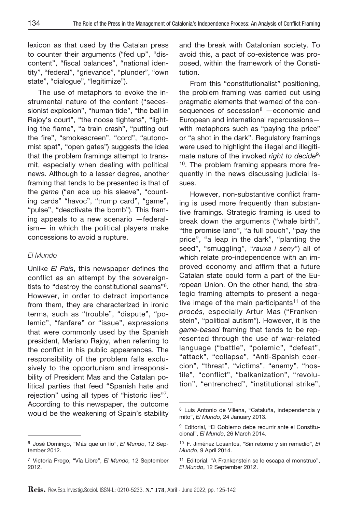lexicon as that used by the Catalan press to counter their arguments ("fed up", "discontent", "fiscal balances", "national identity", "federal", "grievance", "plunder", "own state", "dialogue", "legitimize").

The use of metaphors to evoke the instrumental nature of the content ("secessionist explosion", "human tide", "the ball in Rajoy's court", "the noose tightens", "lighting the flame", "a train crash", "putting out the fire", "smokescreen", "cord", "autonomist spat", "open gates") suggests the idea that the problem framings attempt to transmit, especially when dealing with political news. Although to a lesser degree, another framing that tends to be presented is that of the *game* ("an ace up his sleeve", "counting cards" "havoc", "trump card", "game", "pulse", "deactivate the bomb"). This framing appeals to a new scenario —federalism— in which the political players make concessions to avoid a rupture.

### *El Mundo*

Unlike *El País*, this newspaper defines the conflict as an attempt by the sovereigntists to "destroy the constitutional seams"6. However, in order to detract importance from them, they are characterized in ironic terms, such as "trouble", "dispute", "polemic", "fanfare" or "issue", expressions that were commonly used by the Spanish president, Mariano Rajoy, when referring to the conflict in his public appearances. The responsibility of the problem falls exclusively to the opportunism and irresponsibility of President Mas and the Catalan political parties that feed "Spanish hate and rejection" using all types of "historic lies"7. According to this newspaper, the outcome would be the weakening of Spain's stability and the break with Catalonian society. To avoid this, a pact of co-existence was proposed, within the framework of the Constitution.

From this "constitutionalist*"* positioning, the problem framing was carried out using pragmatic elements that warned of the consequences of secession $8$  -economic and European and international repercussions with metaphors such as "paying the price" or "a shot in the dark". Regulatory framings were used to highlight the illegal and illegitimate nature of the invoked *right to decide*9, <sup>10</sup>. The problem framing appears more frequently in the news discussing judicial issues.

However, non-substantive conflict framing is used more frequently than substantive framings. Strategic framing is used to break down the arguments ("whale birth", "the promise land", "a full pouch", "pay the price", "a leap in the dark", "planting the seed", "smuggling", "*rauxa i seny*") all of which relate pro-independence with an improved economy and affirm that a future Catalan state could form a part of the European Union. On the other hand, the strategic framing attempts to present a negative image of the main participants<sup>11</sup> of the *procés*, especially Artur Mas ("Frankenstein", "political autism"). However, it is the *game-based* framing that tends to be represented through the use of war-related language ("battle", "polemic", "defeat", "attack", "collapse", "Anti-Spanish coercion", "threat", "victims", "enemy", "hostile", "conflict", "balkanization", "revolution", "entrenched", "institutional strike",

<sup>6</sup> José Domingo, "Más que un lío", *El Mundo*, 12 September 2012.

<sup>7</sup> Victoria Prego, "Vía Libre", *El Mundo,* 12 September 2012.

<sup>8</sup> Luis Antonio de Villena, "Cataluña, independencia y mito", *El Mundo*, 24 January 2013.

<sup>9</sup> Editorial, "El Gobierno debe recurrir ante el Constitucional", *El Mundo*, 26 March 2014.

<sup>10</sup> F. Jiménez Losantos, "Sin retorno y sin remedio", *El Mundo*, 9 April 2014.

<sup>11</sup> Editorial, "A Frankenstein se le escapa el monstruo", *El Mundo*, 12 September 2012.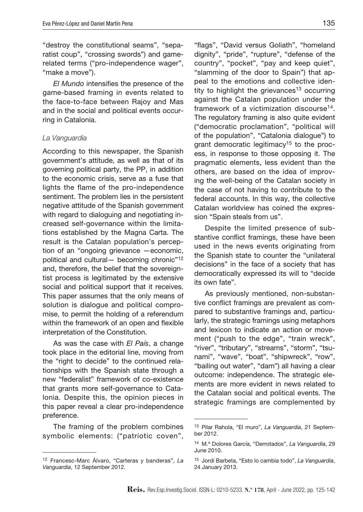"destroy the constitutional seams", "separatist coup", "crossing swords") and gamerelated terms ("pro-independence wager", "make a move").

*El Mundo* intensifies the presence of the game-based framing in events related to the face-to-face between Rajoy and Mas and in the social and political events occurring in Catalonia.

#### *La Vanguardia*

According to this newspaper, the Spanish government's attitude, as well as that of its governing political party, the PP, in addition to the economic crisis, serve as a fuse that lights the flame of the pro-independence sentiment. The problem lies in the persistent negative attitude of the Spanish government with regard to dialoguing and negotiating increased self-governance within the limitations established by the Magna Carta. The result is the Catalan population's perception of an "ongoing grievance —economic, political and cultural— becoming chronic"12 and, therefore, the belief that the sovereigntist process is legitimated by the extensive social and political support that it receives. This paper assumes that the only means of solution is dialogue and political compromise, to permit the holding of a referendum within the framework of an open and flexible interpretation of the Constitution.

As was the case with *El País*, a change took place in the editorial line, moving from the "right to decide" to the continued relationships with the Spanish state through a new "federalist" framework of co-existence that grants more self-governance to Catalonia. Despite this, the opinion pieces in this paper reveal a clear pro-independence preference.

The framing of the problem combines symbolic elements: ("patriotic coven",

"flags", "David versus Goliath", "homeland dignity", "pride", "rupture", "defense of the country", "pocket", "pay and keep quiet", "slamming of the door to Spain") that appeal to the emotions and collective identity to highlight the grievances<sup>13</sup> occurring against the Catalan population under the framework of a victimization discourse<sup>14</sup>. The regulatory framing is also quite evident ("democratic proclamation", "political will of the population", "Catalonia dialogue") to grant democratic legitimacy<sup>15</sup> to the process, in response to those opposing it. The pragmatic elements, less evident than the others, are based on the idea of improving the well-being of the Catalan society in the case of not having to contribute to the federal accounts. In this way, the collective Catalan worldview has coined the expression "Spain steals from us".

Despite the limited presence of substantive conflict framings, these have been used in the news events originating from the Spanish state to counter the "unilateral decisions" in the face of a society that has democratically expressed its will to "decide its own fate".

As previously mentioned, non-substantive conflict framings are prevalent as compared to substantive framings and, particularly, the strategic framings using metaphors and lexicon to indicate an action or movement ("push to the edge", "train wreck", "river", "tributary", "streams", "storm", "tsunami", "wave", "boat", "shipwreck", "row", "bailing out water", "dam") all having a clear outcome: independence. The strategic elements are more evident in news related to the Catalan social and political events. The strategic framings are complemented by

<sup>12</sup> Francesc-Marc Álvaro, "Carteras y banderas", *La Vanguardia*, 12 September 2012.

<sup>13</sup> Pilar Rahola, "El muro", *La Vanguardia*, 21 September 2012.

<sup>14</sup> M.ª Dolores García, "Derrotados", *La Vanguardia*, 29 June 2010.

<sup>15</sup> Jordi Barbeta, "Esto lo cambia todo", *La Vanguardia*, 24 January 2013.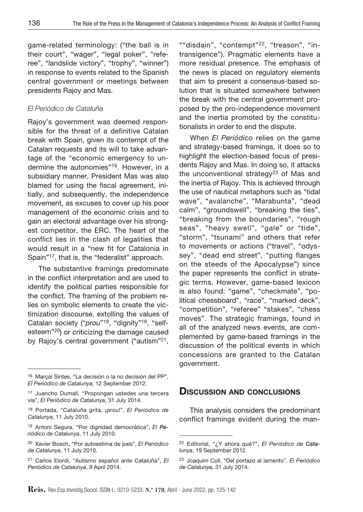game-related terminology: ("the ball is in their court", "wager", "legal poker", "referee", "landslide victory", "trophy", "winner") in response to events related to the Spanish central government or meetings between presidents Rajoy and Mas.

### *El Periódico de Cataluña*

Rajoy's government was deemed responsible for the threat of a definitive Catalan break with Spain, given its contempt of the Catalan requests and its will to take advantage of the "economic emergency to undermine the autonomies"16. However, in a subsidiary manner, President Mas was also blamed for using the fiscal agreement, initially, and subsequently, the independence movement, as excuses to cover up his poor management of the economic crisis and to gain an electoral advantage over his strongest competitor, the ERC. The heart of the conflict lies in the clash of legalities that would result in a "new fit for Catalonia in Spain"17, that is, the "federalist" approach.

The substantive framings predominate in the conflict interpretation and are used to identify the political parties responsible for the conflict. The framing of the problem relies on symbolic elements to create the victimization discourse, extolling the values of Catalan society ("*prou*"18, "dignity"19, "selfesteem"20) or criticizing the damage caused by Rajoy's central government ("autism"<sup>21</sup>,

""disdain", "contempt"<sup>22</sup>, "treason", "intransigence"). Pragmatic elements have a more residual presence. The emphasis of the news is placed on regulatory elements that aim to present a consensus-based solution that is situated somewhere between the break with the central government proposed by the pro-independence movement and the inertia promoted by the constitutionalists in order to end the dispute.

When *El Periódico* relies on the game and strategy-based framings, it does so to highlight the election-based focus of presidents Rajoy and Mas. In doing so, it attacks the unconventional strategy<sup>23</sup> of Mas and the inertia of Rajoy. This is achieved through the use of nautical metaphors such as "tidal wave", "avalanche", "Marabunta", "dead calm", "groundswell", "breaking the ties", "breaking from the boundaries", "rough seas", "heavy swell", "gale" or "tide", "storm", "tsunami" and others that refer to movements or actions ("travel", "odyssey", "dead end street", "putting flanges on the steeds of the Apocalypse") since the paper represents the conflict in strategic terms. However, game-based lexicon is also found: "game", "checkmate", "political chessboard", "race", "marked deck", "competition", "referee" "stakes", "chess moves". The strategic framings, found in all of the analyzed news events, are complemented by game-based framings in the discussion of the political events in which concessions are granted to the Catalan government.

# Discussion and conclusions

This analysis considers the predominant conflict framings evident during the man-

<sup>16</sup> Marçal Sintes, "La decisión o la no decisión del PP", *El Periódico de Catalunya,* 12 September 2012.

<sup>17</sup> Juancho Dumall, "Propongan ustedes una tercera vía", *El Periódico de Catalunya*, 31 July 2014.

<sup>18</sup> Portada, "Cataluña grita, ¡prou!", *El Periódico de Catalunya*, 11 July 2010.

<sup>19</sup> Antoni Segura, "Por dignidad democrática", *El Periódico de Catalunya*, 11 July 2010.

<sup>20</sup> Xavier Bosch, "Por autoestima de país", *El Periódico de Catalunya*, 11 July 2010.

<sup>21</sup> Carlos Elordi, "Autismo español ante Cataluña", *El Periódico de Catalunya*, 9 April 2014.

<sup>22</sup> Editorial, "¿Y ahora qué?", *El Periódico de Catalunya*, 19 September 2012.

<sup>23</sup> Joaquim Coll, "Del portazo al lamento", *El Periódico de Catalunya*, 31 July 2014.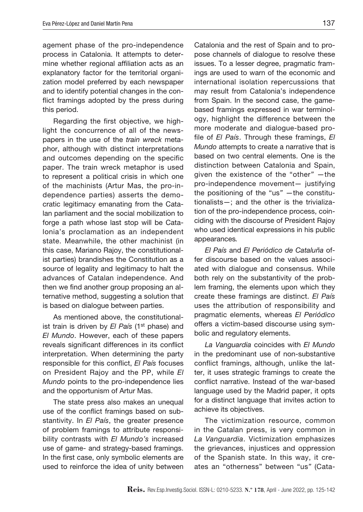agement phase of the pro-independence process in Catalonia. It attempts to determine whether regional affiliation acts as an explanatory factor for the territorial organization model preferred by each newspaper and to identify potential changes in the conflict framings adopted by the press during this period.

Regarding the first objective, we highlight the concurrence of all of the newspapers in the use of the *train wreck* metaphor, although with distinct interpretations and outcomes depending on the specific paper. The train wreck metaphor is used to represent a political crisis in which one of the machinists (Artur Mas, the pro-independence parties) asserts the democratic legitimacy emanating from the Catalan parliament and the social mobilization to forge a path whose last stop will be Catalonia's proclamation as an independent state. Meanwhile, the other machinist (in this case, Mariano Rajoy, the constitutionalist parties) brandishes the Constitution as a source of legality and legitimacy to halt the advances of Catalan independence. And then we find another group proposing an alternative method, suggesting a solution that is based on dialogue between parties.

As mentioned above, the constitutionalist train is driven by *El País* (1<sup>st</sup> phase) and *El Mundo*. However, each of these papers reveals significant differences in its conflict interpretation. When determining the party responsible for this conflict, *El País* focuses on President Rajoy and the PP, while *El Mundo* points to the pro-independence lies and the opportunism of Artur Mas.

The state press also makes an unequal use of the conflict framings based on substantivity. In *El País*, the greater presence of problem framings to attribute responsibility contrasts with *El Mundo's* increased use of game- and strategy-based framings. In the first case, only symbolic elements are used to reinforce the idea of unity between

Catalonia and the rest of Spain and to propose channels of dialogue to resolve these issues. To a lesser degree, pragmatic framings are used to warn of the economic and international isolation repercussions that may result from Catalonia's independence from Spain. In the second case, the gamebased framings expressed in war terminology, highlight the difference between the more moderate and dialogue-based profile of *El País*. Through these framings, *El Mundo* attempts to create a narrative that is based on two central elements. One is the distinction between Catalonia and Spain, given the existence of the "other*"* —the pro-independence movement— justifying the positioning of the "us*"* —the constitutionalists—; and the other is the trivialization of the pro-independence process, coinciding with the discourse of President Rajoy who used identical expressions in his public appearances*.* 

*El País* and *El Periódico de Cataluña* offer discourse based on the values associated with dialogue and consensus. While both rely on the substantivity of the problem framing, the elements upon which they create these framings are distinct. *El País* uses the attribution of responsibility and pragmatic elements, whereas *El Periódico* offers a victim-based discourse using symbolic and regulatory elements.

*La Vanguardia* coincides with *El Mundo* in the predominant use of non-substantive conflict framings, although, unlike the latter, it uses strategic framings to create the conflict narrative. Instead of the war-based language used by the Madrid paper, it opts for a distinct language that invites action to achieve its objectives.

The victimization resource, common in the Catalan press, is very common in *La Vanguardia*. Victimization emphasizes the grievances, injustices and oppression of the Spanish state. In this way, it creates an "otherness" between "us*"* (Cata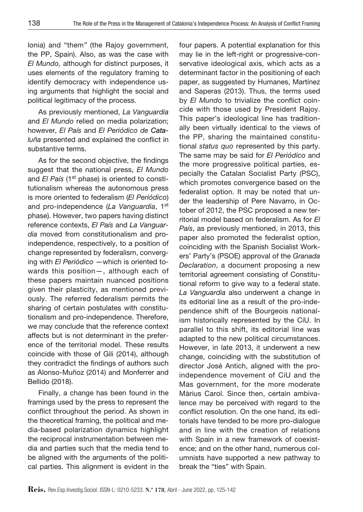lonia) and "them*"* (the Rajoy government, the PP, Spain). Also, as was the case with *El Mundo,* although for distinct purposes, it uses elements of the regulatory framing to identify democracy with independence using arguments that highlight the social and political legitimacy of the process.

As previously mentioned, *La Vanguardia* and *El Mundo* relied on media polarization; however, *El País* and *El Periódico de Cataluña* presented and explained the conflict in substantive terms.

As for the second objective, the findings suggest that the national press, *El Mundo* and *El País* (1<sup>st</sup> phase) is oriented to constitutionalism whereas the autonomous press is more oriented to federalism (*El Periódico*) and pro-independence (*La Vanguardia*, 1st phase). However, two papers having distinct reference contexts, *El País* and *La Vanguardia* moved from constitutionalism and proindependence, respectively, to a position of change represented by federalism, converging with *El Periódico* —which is oriented towards this position—, although each of these papers maintain nuanced positions given their plasticity, as mentioned previously. The referred federalism permits the sharing of certain postulates with constitutionalism and pro-independence. Therefore, we may conclude that the reference context affects but is not determinant in the preference of the territorial model. These results coincide with those of Gili (2014), although they contradict the findings of authors such as Alonso-Muñoz (2014) and Monferrer and Bellido (2018).

Finally, a change has been found in the framings used by the press to represent the conflict throughout the period. As shown in the theoretical framing, the political and media-based polarization dynamics highlight the reciprocal instrumentation between media and parties such that the media tend to be aligned with the arguments of the political parties. This alignment is evident in the

four papers. A potential explanation for this may lie in the left-right or progressive-conservative ideological axis, which acts as a determinant factor in the positioning of each paper, as suggested by Humanes, Martínez and Saperas (2013). Thus, the terms used by *El Mundo* to trivialize the conflict coincide with those used by President Rajoy. This paper's ideological line has traditionally been virtually identical to the views of the PP, sharing the maintained constitutional *status quo* represented by this party. The same may be said for *El Periódico* and the more progressive political parties, especially the Catalan Socialist Party (PSC), which promotes convergence based on the federalist option. It may be noted that under the leadership of Pere Navarro, in October of 2012, the PSC proposed a new territorial model based on federalism. As for *El País*, as previously mentioned, in 2013, this paper also promoted the federalist option, coinciding with the Spanish Socialist Workers' Party's (PSOE) approval of the *Granada Declaration*, a document proposing a new territorial agreement consisting of Constitutional reform to give way to a federal state. *La Vanguardia* also underwent a change in its editorial line as a result of the pro-independence shift of the Bourgeois nationalism historically represented by the CiU. In parallel to this shift, its editorial line was adapted to the new political circumstances. However, in late 2013, it underwent a new change, coinciding with the substitution of director José Antich, aligned with the proindependence movement of CiU and the Mas government, for the more moderate Màrius Carol. Since then, certain ambivalence may be perceived with regard to the conflict resolution. On the one hand, its editorials have tended to be more pro-dialogue and in line with the creation of relations with Spain in a new framework of coexistence; and on the other hand, numerous columnists have supported a new pathway to break the "ties" with Spain.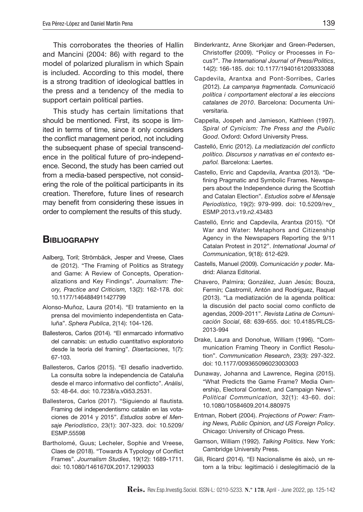This corroborates the theories of Hallin and Mancini (2004: 86) with regard to the model of polarized pluralism in which Spain is included. According to this model, there is a strong tradition of ideological battles in the press and a tendency of the media to support certain political parties.

This study has certain limitations that should be mentioned. First, its scope is limited in terms of time, since it only considers the conflict management period, not including the subsequent phase of special transcendence in the political future of pro-independence. Second, the study has been carried out from a media-based perspective, not considering the role of the political participants in its creation. Therefore, future lines of research may benefit from considering these issues in order to complement the results of this study.

## **BIBLIOGRAPHY**

- Aalberg, Toril; Strömbäck, Jesper and Vreese, Claes de (2012). "The Framing of Politics as Strategy and Game: A Review of Concepts, Operationalizations and Key Findings". *Journalism: Theory, Practice and Criticism,* 13(2): 162-178*.* doi: 10.1177/1464884911427799
- Alonso-Muñoz, Laura (2014). "El tratamiento en la prensa del movimiento independentista en Cataluña". *Sphera Publica*, 2(14): 104-126.
- Ballesteros, Carlos (2014). "El enmarcado informativo del cannabis: un estudio cuantitativo exploratorio desde la teoría del framing". *Disertaciones*, 1(7): 67-103.
- Ballesteros, Carlos (2015). "El desafío inadvertido. La consulta sobre la independencia de Cataluña desde el marco informativo del conflicto". *Anàlisi*, 53: 48-64. doi: 10.7238/a.v0i53.2531.
- Ballesteros, Carlos (2017). "Siguiendo al flautista. Framing del independentismo catalán en las votaciones de 2014 y 2015". *Estudios sobre el Mensaje Periodístico*, 23(1): 307-323. doi: 10.5209/ ESMP.55598
- Bartholomé, Guus; Lecheler, Sophie and Vreese, Claes de (2018). "Towards A Typology of Conflict Frames". *Journalism Studies*, 19(12): 1689-1711. doi: 10.1080/1461670X.2017.1299033
- Binderkrantz, Anne Skorkjær and Green-Pedersen, Christoffer (2009). "Policy or Processes in Focus?". *The International Journal of Press/Politics*, 14(2): 166-185. doi: 10.1177/1940161209333088
- Capdevila, Arantxa and Pont-Sorribes, Carles (2012). *La campanya fragmentada. Comunicació política i comportament electoral a les eleccions catalanes de 2010*. Barcelona: Documenta Universitaria.
- Cappella, Jospeh and Jamieson, Kathleen (1997). *Spiral of Cynicism: The Press and the Public Good*. Oxford: Oxford University Press.
- Castelló, Enric (2012). *La mediatización del conflicto político. Discursos y narrativas en el contexto español.* Barcelona: Laertes.
- Castello, Enric and Capdevila, Arantxa (2013). "Defining Pragmatic and Symbolic Frames. Newspapers about the Independence during the Scottish and Catalan Election". *Estudios sobre el Mensaje Periodístico,* 19(2): 979-999. doi: 10.5209/rev\_ ESMP.2013.v19.n2.43483
- Castelló, Enric and Capdevila, Arantxa (2015). "Of War and Water: Metaphors and Citizenship Agency in the Newspapers Reporting the 9/11 Catalan Protest in 2012". *International Journal of Communication*, 9(18): 612-629.
- Castells, Manuel (2009). *Comunicación y poder*. Madrid: Alianza Editorial.
- Chavero, Palmira; González, Juan Jesús; Bouza, Fermín; Castromil, Antón and Rodríguez, Raquel (2013). "La mediatización de la agenda política: la discusión del pacto social como conflicto de agendas, 2009-2011". *Revista Latina de Comunicación Social*, 68: 639-655. doi: 10.4185/RLCS-2013-994
- Drake, Laura and Donohue, William (1996). "Communication Framing Theory in Conflict Resolution". *Communication Research*, 23(3): 297-322. doi: 10.1177/009365096023003003
- Dunaway, Johanna and Lawrence, Regina (2015). "What Predicts the Game Frame? Media Ownership, Electoral Context, and Campaign News". *Political Communication,* 32(1): 43-60. doi: 10.1080/10584609.2014.880975
- Entman, Robert (2004). *Projections of Power: Framing News, Public Opinion, and US Foreign Policy*. Chicago: University of Chicago Press.
- Gamson, William (1992). *Talking Politics*. New York: Cambridge University Press.
- Gili, Ricard (2014). "El Nacionalisme és això, un retorn a la tribu: legitimació i deslegitimació de la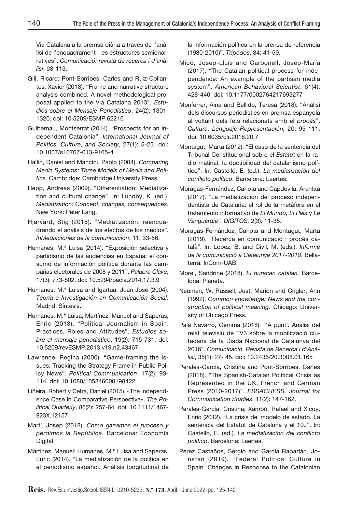Via Catalana a la premsa diària a través de l'anàlisi de l'enquadrament i les estructures semionarratives". *Comunicació: revista de recerca i d'anàlisi*, 93-113.

- Gili, Ricard; Pont-Sorribes, Carles and Ruiz-Collantes, Xavier (2018). "Frame and narrative structure analysis combined. A novel methodological proposal applied to the Via Catalana 2013". *Estudios sobre el Mensaje Periodístico*, 24(2): 1301- 1320. doi: 10.5209/ESMP.62216
- Guibernau, Montserrat (2014). "Prospects for an independent Catalonia". *International Journal of Politics, Culture, and Society*, 27(1): 5-23. doi: 10.1007/s10767-013-9165-4
- Hallin, Daniel and Mancini, Paolo (2004). *Comparing Media Systems: Three Models of Media and Politics*. Cambridge: Cambridge University Press.
- Hepp, Andreas (2009). "Differentiation: Mediatization and cultural change". In: Lundby, K. (ed.). *Mediatization: Concept, changes, consequences*. New York: Peter Lang.
- Hjarvard, Stig (2016). "Mediatización: reencuadrando el análisis de los efectos de los medios". *InMediaciones de la comunicación*, 11: 33-56.
- Humanes, M.ª Luisa (2014). "Exposición selectiva y partidismo de las audiencias en España: el consumo de información política durante las campañas electorales de 2008 y 2011". *Palabra Clave*, 17(3): 773-802. doi: 10.5294/pacla.2014.17.3.9
- Humanes, M.ª Luisa and Igartua, Juan José (2004). *Teoría e Investigación en Comunicación Social*. Madrid: Síntesis.
- Humanes, M.ª Luisa; Martínez, Manuel and Saperas, Enric (2013). "Political Journalism in Spain: Practices, Roles and Attitudes". *Estudios sobre el mensaje periodístico*, 19(2): 715-731. doi: 10.5209/revESMP.2013.v19.n2.43467
- Lawrence, Regina (2000). "Game-framing the Issues: Tracking the Strategy Frame in Public Policy News". *Political Communication*, 17(2): 93- 114. doi: 10.1080/105846000198422
- Liñeira, Robert y Cetrà, Daniel (2015). «The Independence Case in Comparative Perspective», *The Political Quarterly*, 86(2): 257-64. doi: 10.1111/1467- 923X.12157
- Martí, Josep (2018). *Como ganamos el proceso y perdimos la República*. Barcelona: Economía Digital.
- Martínez, Manuel; Humanes, M.ª Luisa and Saperas, Enric (2014). "La mediatización de la política en el periodismo español. Análisis longitudinal de

la información política en la prensa de referencia (1980-2010)". *Trípodos*, 34: 41-59.

- Micó, Josep-Lluís and Carbonell, Josep-María (2017). "The Catalan political process for independence: An example of the partisan media system". *American Behavioral Scientist*, 61(4): 428-440. doi: 10.1177/0002764217693277
- Monferrer, Aina and Bellido, Teresa (2018). "Anàlisi dels discursos periodístics en premsa espanyola al voltant dels fets relacionats amb el *procés*". *Cultura, Lenguaje Representación,* 20: 95-111. doi: 10.6035/clr.2018.20.7
- Montagut, Marta (2012). "El caso de la sentencia del Tribunal Constitucional sobre el *Estatut* en la radio matinal: la ductibilidad del catalanismo político". In: Castelló, E. (ed.). *La mediatización del conflicto político*. Barcelona: Laertes.
- Moragas-Fernández, Carlota and Capdevila, Arantxa (2017). "La mediatización del proceso independentista de Cataluña: el rol de la metáfora en el tratamiento informativo de *El Mundo, El País* y *La Vanguardia". DÍGITOS,* 2(3): 11-35.
- Moragas-Fernández, Carlota and Montagut, Marta (2019). "Recerca en comunicació i procés català". In: López, B. and Civil, M. (eds.). *Informe de la comunicació a Catalunya 2017-2018*. Bellaterra: InCom-UAB.
- Morel, Sandrine (2018). *El huracán catalán.* Barcelona: Planeta.
- Neuman, W. Russell; Just, Marion and Crigler, Ann (1992). *Common knowledge: News and the construction of polítical meaning*. Chicago: University of Chicago Press.
- Palà Navarro, Gemma (2018). "'A punt'. Anàlisi del relat televisiu de TV3 sobre la mobilització ciutadana de la Diada Nacional de Catalunya del 2016". *Comunicació. Revista de Recerca i d'Anàlisi*, 35(1): 27- 45. doi: 10.2436/20.3008.01.165
- Perales-García, Cristina and Pont-Sorribes, Carles (2018). "The Spanish-Catalan Political Crisis as Represented in the UK, French and German Press (2010-2017)". *ESSACHESS. Journal for Communication Studies*, 11(2): 147-162.
- Perales-García, Cristina; Xambó, Rafael and Xicoy, Enric (2012). "La crisis del modelo de estado. La sentencia del Estatut de Cataluña y el 10J". In: Castelló, E. (ed.). *La mediatización del conflicto político*. Barcelona: Laertes.
- Pérez Castaños, Sergio and García Rabadán, Jonatan (2019). "Federal Political Culture in Spain. Changes in Response to the Catalonian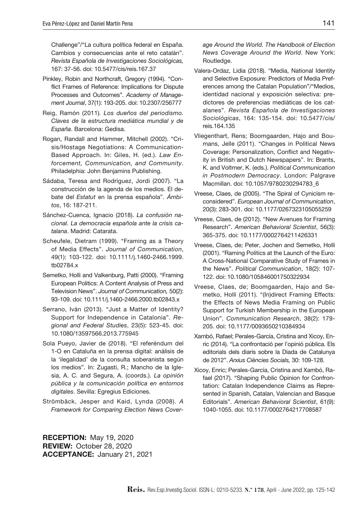Challenge"/"La cultura política federal en España. Cambios y consecuencias ante el reto catalán". *Revista Española de Investigaciones Sociológicas,*  167: 37-56. doi: 10.5477/cis/reis.167.37

- Pinkley, Robin and Northcraft, Gregory (1994). "Conflict Frames of Reference: Implications for Dispute Processes and Outcomes". *Academy of Management Journal*, 37(1): 193-205. doi: 10.2307/256777
- Reig, Ramón (2011)*. Los dueños del periodismo. Claves de la estructura mediática mundial y de España*. Barcelona: Gedisa.
- Rogan, Randall and Hammer, Mitchell (2002). "Crisis/Hostage Negotiations: A Communication-Based Approach. In: Giles, H. (ed.). *Law Enforcement, Communication, and Community*. Philadelphia: John Benjamins Publishing.
- Sádaba, Teresa and Rodríguez, Jordi (2007). "La construcción de la agenda de los medios. El debate del *Estatut* en la prensa española". *Ámbitos*, 16: 187-211.
- Sánchez-Cuenca, Ignacio (2018). *La confusión nacional. La democracia española ante la crisis catalana*. Madrid: Catarata.
- Scheufele, Dietram (1999). "Framing as a Theory of Media Effects". *Journal of Communication*, 49(1): 103-122. doi: 10.1111/j.1460-2466.1999. tb02784.x
- Semetko, Holli and Valkenburg, Patti (2000). "Framing European Politics: A Content Analysis of Press and Television News". *Journal of Communication,* 50(2): 93-109. doi: 10.1111/j.1460-2466.2000.tb02843.x
- Serrano, Iván (2013). "Just a Matter of Identity? Support for Independence in Catalonia". *Regional and Federal Studies*, 23(5): 523-45. doi: 10.1080/13597566.2013.775945
- Sola Pueyo, Javier de (2018). "El referéndum del 1-O en Cataluña en la prensa digital: análisis de la 'ilegalidad' de la consulta soberanista según los medios". In: Zugasti, R.; Mancho de la Iglesia, A. C. and Segura, A. (coords.). *La opinión pública y la comunicación política en entornos digitales*. Sevilla: Egregius Ediciones.
- Strömbäck, Jesper and Kaid, Lynda (2008). *A Framework for Comparing Election News Cover-*

*age Around the World. The Handbook of Election News Coverage Around the World*. New York: Routledge.

- Valera-Ordaz, Lidia (2018). "Media, National Identity and Selective Exposure: Predictors of Media Preferences among the Catalan Population"/"Medios, identidad nacional y exposición selectiva: predictores de preferencias mediáticas de los catalanes". *Revista Española de Investigaciones Sociológicas*, 164: 135-154. doi: 10.5477/cis/ reis.164.135
- Vliegenthart, Rens; Boomgaarden, Hajo and Boumans, Jelle (2011). "Changes in Political News Coverage: Personalization, Conflict and Negativity in British and Dutch Newspapers". In: Brants, K. and Voltmer, K. (eds.). *Political Communication in Postmodern Democracy*. London: Palgrave Macmillan. doi: 10.1057/9780230294783\_6
- Vreese, Claes, de (2005). "The Spiral of Cynicism reconsidered". *European Journal of Communication*, 20(3): 283-301. doi: 10.1177/0267323105055259
- Vreese, Claes, de (2012). "New Avenues for Framing Research". *American Behavioral Scientist*, 56(3): 365-375. doi: 10.1177/0002764211426331
- Vreese, Claes, de; Peter, Jochen and Semetko, Holli (2001). "Raming Politics at the Launch of the Euro: A Cross-National Comparative Study of Frames in the News". *Political Communication*, 18(2): 107- 122. doi: 10.1080/105846001750322934
- Vreese, Claes, de; Boomgaarden, Hajo and Semetko, Holli (2011). "(In)direct Framing Effects: the Effects of News Media Framing on Public Support for Turkish Membership in the European Union". *Communication Research*, 38(2): 179- 205. doi: 10.1177/0093650210384934
- Xambó, Rafael; Perales-García, Cristina and Xicoy, Enric (2014). "La confrontació per l'opinió pública. Els editorials dels diaris sobre la Diada de Catalunya de 2012". *Arxius Ciències Socials,* 30: 109-128.
- Xicoy, Enric; Perales-García, Cristina and Xambó, Rafael (2017). "Shaping Public Opinion for Confrontation: Catalan Independence Claims as Represented in Spanish, Catalan, Valencian and Basque Editorials". *American Behavioral Scientist*, 61(9): 1040-1055. doi: 10.1177/0002764217708587

RECEPTION: May 19, 2020 REVIEW: October 28, 2020 ACCEPTANCE: January 21, 2021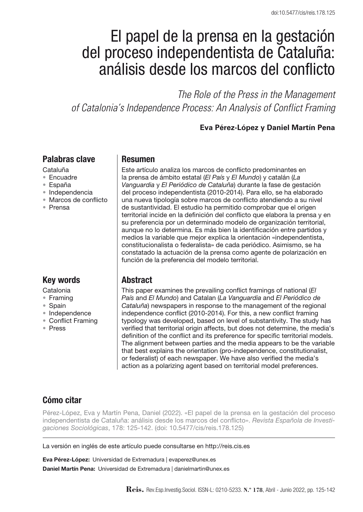# El papel de la prensa en la gestación del proceso independentista de Cataluña: análisis desde los marcos del conflicto

*The Role of the Press in the Management of Catalonia's Independence Process: An Analysis of Conflict Framing* 

**Eva Pérez-López y Daniel Martín Pena**

## Palabras clave

- Cataluña
- • Encuadre
- • España
- • Independencia
- • Marcos de conflicto
- • Prensa

# Key words

Catalonia

- • Framing
- • Spain
- • Independence
- Conflict Framing
- • Press

## Resumen

Este artículo analiza los marcos de conflicto predominantes en la prensa de ámbito estatal (*El País* y *El Mundo*) y catalán (*La Vanguardia* y *El Periódico de Cataluña*) durante la fase de gestación del proceso independentista (2010-2014). Para ello, se ha elaborado una nueva tipología sobre marcos de conflicto atendiendo a su nivel de sustantividad. El estudio ha permitido comprobar que el origen territorial incide en la definición del conflicto que elabora la prensa y en su preferencia por un determinado modelo de organización territorial, aunque no lo determina. Es más bien la identificación entre partidos y medios la variable que mejor explica la orientación «independentista, constitucionalista o federalista» de cada periódico. Asimismo, se ha constatado la actuación de la prensa como agente de polarización en función de la preferencia del modelo territorial.

# Abstract

This paper examines the prevailing conflict framings of national (*El País* and *El Mundo*) and Catalan (*La Vanguardia* and *El Periódico de Cataluña*) newspapers in response to the management of the regional independence conflict (2010-2014). For this, a new conflict framing typology was developed, based on level of substantivity. The study has verified that territorial origin affects, but does not determine, the media's definition of the conflict and its preference for specific territorial models. The alignment between parties and the media appears to be the variable that best explains the orientation (pro-independence, constitutionalist, or federalist) of each newspaper. We have also verified the media's action as a polarizing agent based on territorial model preferences.

# Cómo citar

Pérez-López, Eva y Martín Pena, Daniel (2022). «El papel de la prensa en la gestación del proceso independentista de Cataluña: análisis desde los marcos del conflicto». *Revista Española de Investigaciones Sociológicas*, 178: 125-142. (doi: 10.5477/cis/reis.178.125)

La versión en inglés de este artículo puede consultarse en http://reis.cis.es

Eva Pérez-López: Universidad de Extremadura | evaperez@unex.es Daniel Martín Pena: Universidad de Extremadura | danielmartin@unex.es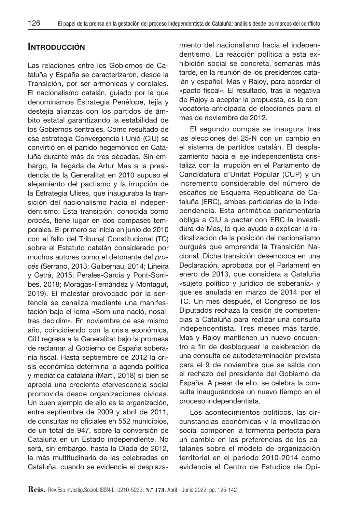# **INTRODUCCIÓN**

Las relaciones entre los Gobiernos de Cataluña y España se caracterizaron, desde la Transición, por ser armónicas y cordiales. El nacionalismo catalán, guiado por la que denominamos Estrategia Penélope, tejía y destejía alianzas con los partidos de ámbito estatal garantizando la estabilidad de los Gobiernos centrales. Como resultado de esa estrategia Convergencia i Unió (CiU) se convirtió en el partido hegemónico en Cataluña durante más de tres décadas. Sin embargo, la llegada de Artur Mas a la presidencia de la Generalitat en 2010 supuso el alejamiento del pactismo y la irrupción de la Estrategia Ulises, que inauguraba la transición del nacionalismo hacia el independentismo. Esta transición, conocida como *procés*, tiene lugar en dos compases temporales. El primero se inicia en junio de 2010 con el fallo del Tribunal Constitucional (TC) sobre el Estatuto catalán considerado por muchos autores como el detonante del *procés* (Serrano, 2013; Guibernau, 2014; Liñeira y Cetrà, 2015; Perales-García y Pont-Sorribes, 2018; Moragas-Fernández y Montagut, 2019). El malestar provocado por la sentencia se canaliza mediante una manifestación bajo el lema «Som una nació, nosaltres decidim». En noviembre de ese mismo año, coincidiendo con la crisis económica, CiU regresa a la Generalitat bajo la promesa de reclamar al Gobierno de España soberanía fiscal. Hasta septiembre de 2012 la crisis económica determina la agenda política y mediática catalana (Martí, 2018) si bien se aprecia una creciente efervescencia social promovida desde organizaciones cívicas. Un buen ejemplo de ello es la organización, entre septiembre de 2009 y abril de 2011, de consultas no oficiales en 552 municipios, de un total de 947, sobre la conversión de Cataluña en un Estado independiente. No será, sin embargo, hasta la Diada de 2012, la más multitudinaria de las celebradas en Cataluña, cuando se evidencie el desplazamiento del nacionalismo hacia el independentismo. La reacción política a esta exhibición social se concreta, semanas más tarde, en la reunión de los presidentes catalán y español, Mas y Rajoy, para abordar el «pacto fiscal». El resultado, tras la negativa de Rajoy a aceptar la propuesta, es la convocatoria anticipada de elecciones para el mes de noviembre de 2012.

El segundo compás se inaugura tras las elecciones del 25-N con un cambio en el sistema de partidos catalán. El desplazamiento hacia el eje independentista cristaliza con la irrupción en el Parlamento de Candidatura d'Unitat Popular (CUP) y un incremento considerable del número de escaños de Esquerra Republicana de Cataluña (ERC), ambas partidarias de la independencia. Esta aritmética parlamentaria obliga a CiU a pactar con ERC la investidura de Mas, lo que ayuda a explicar la radicalización de la posición del nacionalismo burgués que emprende la Transición Nacional*.* Dicha transición desemboca en una Declaración, aprobada por el Parlament en enero de 2013, que considera a Cataluña «sujeto político y jurídico de soberanía» y que es anulada en marzo de 2014 por el TC. Un mes después, el Congreso de los Diputados rechaza la cesión de competencias a Cataluña para realizar una consulta independentista. Tres meses más tarde, Mas y Rajoy mantienen un nuevo encuentro a fin de desbloquear la celebración de una consulta de autodeterminación prevista para el 9 de noviembre que se salda con el rechazo del presidente del Gobierno de España. A pesar de ello, se celebra la consulta inaugurándose un nuevo tiempo en el proceso independentista.

Los acontecimientos políticos, las circunstancias económicas y la movilización social componen la tormenta perfecta para un cambio en las preferencias de los catalanes sobre el modelo de organización territorial en el periodo 2010-2014 como evidencia el Centro de Estudios de Opi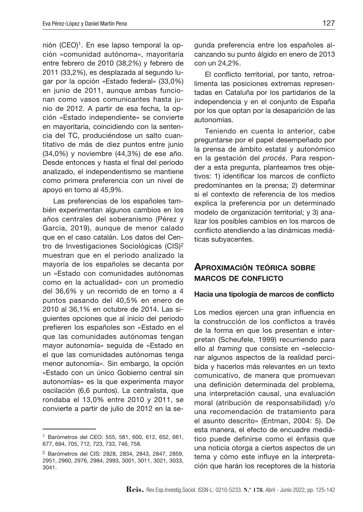nión (CEO)<sup>1</sup>. En ese lapso temporal la opción «comunidad autónoma», mayoritaria entre febrero de 2010 (38,2%) y febrero de 2011 (33,2%), es desplazada al segundo lugar por la opción «Estado federal» (33,0%) en junio de 2011, aunque ambas funcionan como vasos comunicantes hasta junio de 2012. A partir de esa fecha, la opción «Estado independiente» se convierte en mayoritaria, coincidiendo con la sentencia del TC, produciéndose un salto cuantitativo de más de diez puntos entre junio (34,0%) y noviembre (44,3%) de ese año. Desde entonces y hasta el final del periodo analizado, el independentismo se mantiene como primera preferencia con un nivel de apoyo en torno al 45,9%.

Las preferencias de los españoles también experimentan algunos cambios en los años centrales del soberanismo (Pérez y García, 2019), aunque de menor calado que en el caso catalán. Los datos del Centro de Investigaciones Sociológicas (CIS)2 muestran que en el periodo analizado la mayoría de los españoles se decanta por un «Estado con comunidades autónomas como en la actualidad» con un promedio del 36,6% y un recorrido de en torno a 4 puntos pasando del 40,5% en enero de 2010 al 36,1% en octubre de 2014. Las siguientes opciones que al inicio del periodo prefieren los españoles son «Estado en el que las comunidades autónomas tengan mayor autonomía*»* seguida de «Estado en el que las comunidades autónomas tenga menor autonomía». Sin embargo, la opción «Estado con un único Gobierno central sin autonomías» es la que experimenta mayor oscilación (6,6 puntos). La centralista, que rondaba el 13,0% entre 2010 y 2011, se convierte a partir de julio de 2012 en la segunda preferencia entre los españoles alcanzando su punto álgido en enero de 2013 con un 24,2%.

El conflicto territorial, por tanto, retroalimenta las posiciones extremas representadas en Cataluña por los partidarios de la independencia y en el conjunto de España por los que optan por la desaparición de las autonomías.

Teniendo en cuenta lo anterior, cabe preguntarse por el papel desempeñado por la prensa de ámbito estatal y autonómico en la gestación del *procés*. Para responder a esta pregunta, planteamos tres objetivos: 1) identificar los marcos de conflicto predominantes en la prensa; 2) determinar si el contexto de referencia de los medios explica la preferencia por un determinado modelo de organización territorial; y 3) analizar los posibles cambios en los marcos de conflicto atendiendo a las dinámicas mediáticas subyacentes.

### Aproximación teórica sobre marcos de conflicto

#### Hacia una tipología de marcos de conflicto

Los medios ejercen una gran influencia en la construcción de los conflictos a través de la forma en que los presentan e interpretan (Scheufele, 1999) recurriendo para ello al *framing* que consiste en «seleccionar algunos aspectos de la realidad percibida y hacerlos más relevantes en un texto comunicativo, de manera que promuevan una definición determinada del problema, una interpretación causal, una evaluación moral (atribución de responsabilidad) y/o una recomendación de tratamiento para el asunto descrito» (Entman, 2004: 5). De esta manera, el efecto de encuadre mediático puede definirse como el énfasis que una noticia otorga a ciertos aspectos de un tema y cómo este influye en la interpretación que harán los receptores de la historia

<sup>1</sup> Barómetros del CEO: 555, 581, 600, 612, 652, 661, 677, 694, 705, 712, 723, 733, 746, 758.

<sup>2</sup> Barómetros del CIS: 2828, 2834, 2843, 2847, 2859, 2951, 2960, 2976, 2984, 2993, 3001, 3011, 3021, 3033, 3041.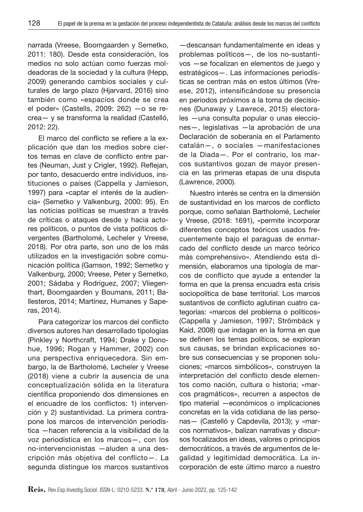narrada (Vreese, Boomgaarden y Semetko, 2011: 180). Desde esta consideración, los medios no solo actúan como fuerzas moldeadoras de la sociedad y la cultura (Hepp, 2009) generando cambios sociales y culturales de largo plazo (Hjarvard, 2016) sino también como «espacios donde se crea el poder» (Castells, 2009: 262) —o se recrea— y se transforma la realidad (Castelló, 2012: 22).

El marco del conflicto se refiere a la explicación que dan los medios sobre ciertos temas en clave de conflicto entre partes (Neuman, Just y Crigler, 1992). Reflejan, por tanto, desacuerdo entre individuos, instituciones o países (Cappella y Jamieson, 1997) para «captar el interés de la audiencia» (Semetko y Valkenburg, 2000: 95). En las noticias políticas se muestran a través de críticas o ataques desde y hacia actores políticos, o puntos de vista políticos divergentes (Bartholomé, Lecheler y Vreese, 2018). Por otra parte, son uno de los más utilizados en la investigación sobre comunicación política (Gamson, 1992; Semetko y Valkenburg, 2000; Vreese, Peter y Semetko, 2001; Sádaba y Rodríguez, 2007; Vliegenthart, Boomgaarden y Boumans, 2011; Ballesteros, 2014; Martínez, Humanes y Saperas, 2014).

Para categorizar los marcos del conflicto diversos autores han desarrollado tipologías (Pinkley y Northcraft, 1994; Drake y Donohue, 1996; Rogan y Hammer, 2002) con una perspectiva enriquecedora. Sin embargo, la de Bartholomé, Lecheler y Vreese (2018) viene a cubrir la ausencia de una conceptualización sólida en la literatura científica proponiendo dos dimensiones en el encuadre de los conflictos: 1) intervención y 2) sustantividad. La primera contrapone los marcos de intervención periodística —hacen referencia a la visibilidad de la voz periodística en los marcos—, con los no-intervencionistas —aluden a una descripción más objetiva del conflicto—. La segunda distingue los marcos sustantivos

—descansan fundamentalmente en ideas y problemas políticos—, de los no-sustantivos —se focalizan en elementos de juego y estratégicos—. Las informaciones periodísticas se centran más en estos últimos (Vreese, 2012), intensificándose su presencia en periodos próximos a la toma de decisiones (Dunaway y Lawrece, 2015) electorales —una consulta popular o unas elecciones—, legislativas —la aprobación de una Declaración de soberanía en el Parlamento catalán—, o sociales —manifestaciones de la Diada—. Por el contrario, los marcos sustantivos gozan de mayor presencia en las primeras etapas de una disputa (Lawrence, 2000).

Nuestro interés se centra en la dimensión de sustantividad en los marcos de conflicto porque, como señalan Bartholomé, Lecheler y Vreese, (2018: 1691), «permite incorporar diferentes conceptos teóricos usados frecuentemente bajo el paraguas de enmarcado del conflicto desde un marco teórico más comprehensivo». Atendiendo esta dimensión, elaboramos una tipología de marcos de conflicto que ayude a entender la forma en que la prensa encuadra esta crisis sociopolítica de base territorial. Los marcos sustantivos de conflicto aglutinan cuatro categorías: «marcos del problema o políticos» (Cappella y Jamieson, 1997; Strömbäck y Kaid, 2008) que indagan en la forma en que se definen los temas políticos, se exploran sus causas, se brindan explicaciones sobre sus consecuencias y se proponen soluciones; «marcos simbólicos», construyen la interpretación del conflicto desde elementos como nación, cultura o historia; «marcos pragmáticos», recurren a aspectos de tipo material —económicos o implicaciones concretas en la vida cotidiana de las personas— (Castelló y Capdevila, 2013); y «marcos normativos*»*, balizan narrativas y discursos focalizados en ideas, valores o principios democráticos, a través de argumentos de legalidad y legitimidad democrática. La incorporación de este último marco a nuestro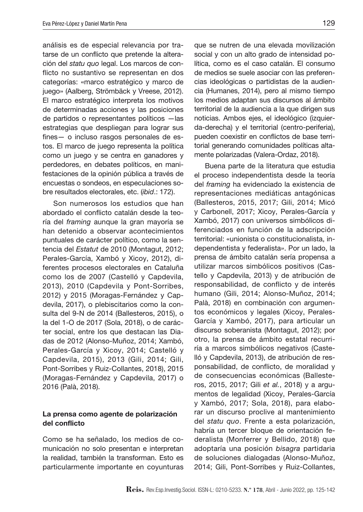análisis es de especial relevancia por tratarse de un conflicto que pretende la alteración del *statu quo* legal. Los marcos de conflicto no sustantivo se representan en dos categorías: «marco estratégico y marco de juego» (Aalberg, Strömbäck y Vreese, 2012). El marco estratégico interpreta los motivos de determinadas acciones y las posiciones de partidos o representantes políticos —las estrategias que despliegan para lograr sus fines — o incluso rasgos personales de estos. El marco de juego representa la política como un juego y se centra en ganadores y perdedores, en debates políticos, en manifestaciones de la opinión pública a través de encuestas o sondeos, en especulaciones sobre resultados electorales, etc. (*ibid*.: 172).

Son numerosos los estudios que han abordado el conflicto catalán desde la teoría del *framing* aunque la gran mayoría se han detenido a observar acontecimientos puntuales de carácter político, como la sentencia del *Estatut* de 2010 (Montagut, 2012; Perales-García, Xambó y Xicoy, 2012), diferentes procesos electorales en Cataluña como los de 2007 (Castelló y Capdevila, 2013), 2010 (Capdevila y Pont-Sorribes, 2012) y 2015 (Moragas-Fernández y Capdevila, 2017), o plebiscitarios como la consulta del 9-N de 2014 (Ballesteros, 2015), o la del 1-O de 2017 (Sola, 2018), o de carácter social, entre los que destacan las Diadas de 2012 (Alonso-Muñoz, 2014; Xambó, Perales-García y Xicoy, 2014; Castelló y Capdevila, 2015), 2013 (Gili, 2014; Gili, Pont-Sorribes y Ruiz-Collantes, 2018), 2015 (Moragas-Fernández y Capdevila, 2017) o 2016 (Palà, 2018).

### La prensa como agente de polarización del conflicto

Como se ha señalado, los medios de comunicación no solo presentan e interpretan la realidad, también la transforman. Esto es particularmente importante en coyunturas

que se nutren de una elevada movilización social y con un alto grado de intensidad política, como es el caso catalán. El consumo de medios se suele asociar con las preferencias ideológicas o partidistas de la audiencia (Humanes, 2014), pero al mismo tiempo los medios adaptan sus discursos al ámbito territorial de la audiencia a la que dirigen sus noticias. Ambos ejes, el ideológico (izquierda-derecha) y el territorial (centro-periferia), pueden coexistir en conflictos de base territorial generando comunidades políticas altamente polarizadas (Valera-Ordaz, 2018).

Buena parte de la literatura que estudia el proceso independentista desde la teoría del *framing* ha evidenciado la existencia de representaciones mediáticas antagónicas (Ballesteros, 2015, 2017; Gili, 2014; Micó y Carbonell, 2017; Xicoy, Perales-García y Xambó, 2017) con universos simbólicos diferenciados en función de la adscripción territorial: «unionista o constitucionalista, independentista y federalista*»*. Por un lado, la prensa de ámbito catalán sería propensa a utilizar marcos simbólicos positivos (Castello y Capdevila, 2013) y de atribución de responsabilidad, de conflicto y de interés humano (Gili, 2014; Alonso-Muñoz, 2014; Palà, 2018) en combinación con argumentos económicos y legales (Xicoy, Perales-García y Xambó, 2017), para articular un discurso soberanista (Montagut, 2012); por otro, la prensa de ámbito estatal recurriría a marcos simbólicos negativos (Castelló y Capdevila, 2013), de atribución de responsabilidad, de conflicto, de moralidad y de consecuencias económicas (Ballesteros, 2015, 2017; Gili *et al.*, 2018) y a argumentos de legalidad (Xicoy, Perales-García y Xambó, 2017; Sola, 2018), para elaborar un discurso proclive al mantenimiento del *statu quo*. Frente a esta polarización, habría un tercer bloque de orientación federalista (Monferrer y Bellido, 2018) que adoptaría una posición *bisagra* partidaria de soluciones dialogadas (Alonso-Muñoz, 2014; Gili, Pont-Sorribes y Ruiz-Collantes,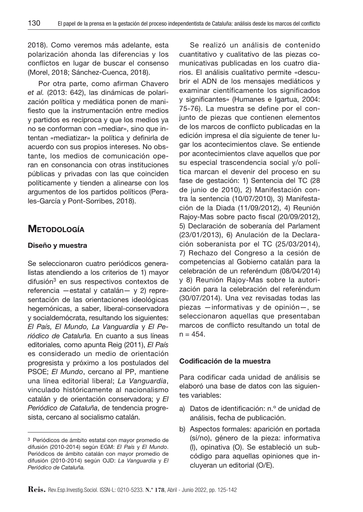2018). Como veremos más adelante, esta polarización ahonda las diferencias y los conflictos en lugar de buscar el consenso (Morel, 2018; Sánchez-Cuenca, 2018).

Por otra parte, como afirman Chavero *et al.* (2013: 642), las dinámicas de polarización política y mediática ponen de manifiesto que la instrumentación entre medios y partidos es recíproca y que los medios ya no se conforman con «mediar», sino que intentan «mediatizar*»* la política y definirla de acuerdo con sus propios intereses. No obstante, los medios de comunicación operan en consonancia con otras instituciones públicas y privadas con las que coinciden políticamente y tienden a alinearse con los argumentos de los partidos políticos (Perales-García y Pont-Sorribes, 2018).

# **METODOLOGÍA**

#### Diseño y muestra

Se seleccionaron cuatro periódicos generalistas atendiendo a los criterios de 1) mayor difusión<sup>3</sup> en sus respectivos contextos de referencia —estatal y catalán— y 2) representación de las orientaciones ideológicas hegemónicas, a saber, liberal-conservadora y socialdemócrata, resultando los siguientes: *El País, El Mundo, La Vanguardia* y *El Periódico de Cataluña.* En cuanto a sus líneas editoriales*,* como apunta Reig (2011), *El País* es considerado un medio de orientación progresista y próximo a los postulados del PSOE; *El Mundo*, cercano al PP, mantiene una línea editorial liberal; *La Vanguardia*, vinculado históricamente al nacionalismo catalán y de orientación conservadora; y *El Periódico de Cataluña*, de tendencia progresista, cercano al socialismo catalán.

Se realizó un análisis de contenido cuantitativo y cualitativo de las piezas comunicativas publicadas en los cuatro diarios. El análisis cualitativo permite «descubrir el ADN de los mensajes mediáticos y examinar científicamente los significados y significantes» (Humanes e Igartua, 2004: 75-76). La muestra se define por el conjunto de piezas que contienen elementos de los marcos de conflicto publicadas en la edición impresa el día siguiente de tener lugar los acontecimientos clave. Se entiende por acontecimientos clave aquellos que por su especial trascendencia social y/o política marcan el devenir del proceso en su fase de gestación: 1) Sentencia del TC (28 de junio de 2010), 2) Manifestación contra la sentencia (10/07/2010), 3) Manifestación de la Diada (11/09/2012), 4) Reunión Rajoy-Mas sobre pacto fiscal (20/09/2012), 5) Declaración de soberanía del Parlament (23/01/2013), 6) Anulación de la Declaración soberanista por el TC (25/03/2014), 7) Rechazo del Congreso a la cesión de competencias al Gobierno catalán para la celebración de un referéndum (08/04/2014) y 8) Reunión Rajoy-Mas sobre la autorización para la celebración del referéndum (30/07/2014). Una vez revisadas todas las piezas —informativas y de opinión—, se seleccionaron aquellas que presentaban marcos de conflicto resultando un total de  $n = 454$ .

#### Codificación de la muestra

Para codificar cada unidad de análisis se elaboró una base de datos con las siguientes variables:

- a) Datos de identificación: n.º de unidad de análisis, fecha de publicación.
- b) Aspectos formales: aparición en portada (sí/no), género de la pieza: informativa (I), opinativa (O). Se estableció un subcódigo para aquellas opiniones que incluyeran un editorial (O/E).

<sup>3</sup> Periódicos de ámbito estatal con mayor promedio de difusión (2010-2014) según EGM: *El País* y *El Mundo*. Periódicos de ámbito catalán con mayor promedio de difusión (2010-2014) según OJD: *La Vanguardia* y *El Periódico de Cataluña.*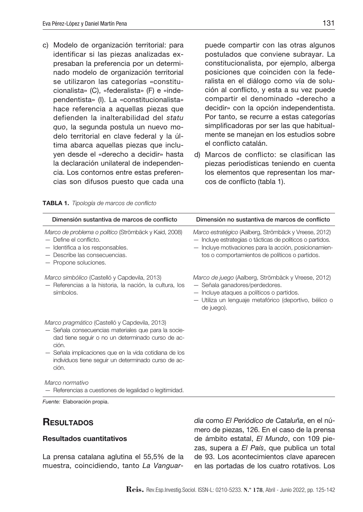c) Modelo de organización territorial: para identificar si las piezas analizadas expresaban la preferencia por un determinado modelo de organización territorial se utilizaron las categorías «constitucionalista» (C), «federalista» (F) e «independentista» (I). La «constitucionalista*»*  hace referencia a aquellas piezas que defienden la inalterabilidad del *statu quo*, la segunda postula un nuevo modelo territorial en clave federal y la última abarca aquellas piezas que incluyen desde el «derecho a decidir» hasta la declaración unilateral de independencia. Los contornos entre estas preferencias son difusos puesto que cada una

puede compartir con las otras algunos postulados que conviene subrayar. La constitucionalista, por ejemplo, alberga posiciones que coinciden con la federalista en el diálogo como vía de solución al conflicto, y esta a su vez puede compartir el denominado «derecho a decidir» con la opción independentista. Por tanto, se recurre a estas categorías simplificadoras por ser las que habitualmente se manejan en los estudios sobre el conflicto catalán.

d) Marcos de conflicto: se clasifican las piezas periodísticas teniendo en cuenta los elementos que representan los marcos de conflicto (tabla 1).

| Dimensión sustantiva de marcos de conflicto                                                                                                                                                                                                                                                   | Dimensión no sustantiva de marcos de conflicto                                                                                                                                                                                |
|-----------------------------------------------------------------------------------------------------------------------------------------------------------------------------------------------------------------------------------------------------------------------------------------------|-------------------------------------------------------------------------------------------------------------------------------------------------------------------------------------------------------------------------------|
| Marco de problema o político (Strömbäck y Kaid, 2008)<br>$-$ Define el conflicto.<br>- Identifica a los responsables.<br>- Describe las consecuencias.<br>- Propone soluciones.                                                                                                               | Marco estratégico (Aalberg, Strömbäck y Vreese, 2012)<br>- Incluye estrategias o tácticas de políticos o partidos.<br>- Incluye motivaciones para la acción, posicionamien-<br>tos o comportamientos de políticos o partidos. |
| Marco simbólico (Castelló y Capdevila, 2013)<br>- Referencias a la historia, la nación, la cultura, los<br>símbolos.                                                                                                                                                                          | Marco de juego (Aalberg, Strömbäck y Vreese, 2012)<br>- Señala ganadores/perdedores.<br>$-$ Incluye ataques a políticos o partidos.<br>- Utiliza un lenguaje metafórico (deportivo, bélico o<br>de juego).                    |
| Marco pragmático (Castelló y Capdevila, 2013)<br>- Señala consecuencias materiales que para la socie-<br>dad tiene seguir o no un determinado curso de ac-<br>ción.<br>- Señala implicaciones que en la vida cotidiana de los<br>individuos tiene seguir un determinado curso de ac-<br>ción. |                                                                                                                                                                                                                               |
| Marco normativo<br>- Referencias a cuestiones de legalidad o legitimidad.<br>Eugato: Elgboración propia                                                                                                                                                                                       |                                                                                                                                                                                                                               |

Tabla 1. *Tipología de marcos de conflicto*

*Fuente:* Elaboración propia.

# **RESULTADOS**

### Resultados cuantitativos

La prensa catalana aglutina el 55,5% de la muestra, coincidiendo, tanto *La Vanguar-* *dia* como *El Periódico de Cataluña*, en el número de piezas, 126. En el caso de la prensa de ámbito estatal, *El Mundo*, con 109 piezas, supera a *El País*, que publica un total de 93. Los acontecimientos clave aparecen en las portadas de los cuatro rotativos. Los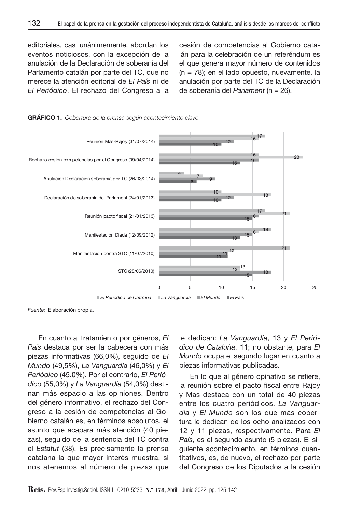editoriales, casi unánimemente, abordan los eventos noticiosos, con la excepción de la anulación de la Declaración de soberanía del Parlamento catalán por parte del TC, que no merece la atención editorial de *El País* ni de *El Periódico*. El rechazo del Congreso a la cesión de competencias al Gobierno catalán para la celebración de un referéndum es el que genera mayor número de contenidos (n = 78); en el lado opuesto, nuevamente, la anulación por parte del TC de la Declaración de soberanía del *Parlament* (n = 26).



Gráfico 1. *Cobertura de la prensa según acontecimiento clave*

*Fuente:* Elaboración propia.

En cuanto al tratamiento por géneros, *El País* destaca por ser la cabecera con más piezas informativas (66,0%), seguido de *El Mundo* (49,5%), *La Vanguardia* (46,0%) y *El Periódico* (45,0%). Por el contrario, *El Periódico* (55,0%) y *La Vanguardia* (54,0%) destinan más espacio a las opiniones. Dentro del género informativo, el rechazo del Congreso a la cesión de competencias al Gobierno catalán es, en términos absolutos, el asunto que acapara más atención (40 piezas), seguido de la sentencia del TC contra el *Estatut* (38). Es precisamente la prensa catalana la que mayor interés muestra, si nos atenemos al número de piezas que

le dedican: *La Vanguardia*, 13 y *El Periódico de Cataluña*, 11; no obstante, para *El Mundo* ocupa el segundo lugar en cuanto a piezas informativas publicadas.

En lo que al género opinativo se refiere, la reunión sobre el pacto fiscal entre Rajoy y Mas destaca con un total de 40 piezas entre los cuatro periódicos. *La Vanguardia* y *El Mundo* son los que más cobertura le dedican de los ocho analizados con 12 y 11 piezas, respectivamente. Para *El País*, es el segundo asunto (5 piezas). El siguiente acontecimiento, en términos cuantitativos, es, de nuevo, el rechazo por parte del Congreso de los Diputados a la cesión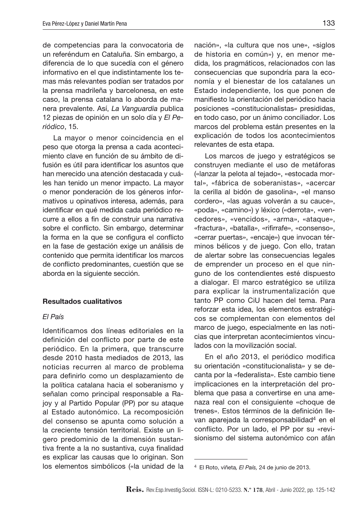de competencias para la convocatoria de un referéndum en Cataluña. Sin embargo, a diferencia de lo que sucedía con el género informativo en el que indistintamente los temas más relevantes podían ser tratados por la prensa madrileña y barcelonesa, en este caso, la prensa catalana lo aborda de manera prevalente. Así, *La Vanguardia* publica 12 piezas de opinión en un solo día y *El Periódico*, 15.

La mayor o menor coincidencia en el peso que otorga la prensa a cada acontecimiento clave en función de su ámbito de difusión es útil para identificar los asuntos que han merecido una atención destacada y cuáles han tenido un menor impacto. La mayor o menor ponderación de los géneros informativos u opinativos interesa, además, para identificar en qué medida cada periódico recurre a ellos a fin de construir una narrativa sobre el conflicto. Sin embargo, determinar la forma en la que se configura el conflicto en la fase de gestación exige un análisis de contenido que permita identificar los marcos de conflicto predominantes, cuestión que se aborda en la siguiente sección.

#### Resultados cualitativos

#### *El País*

Identificamos dos líneas editoriales en la definición del conflicto por parte de este periódico. En la primera, que transcurre desde 2010 hasta mediados de 2013, las noticias recurren al marco de problema para definirlo como un desplazamiento de la política catalana hacia el soberanismo y señalan como principal responsable a Rajoy y al Partido Popular (PP) por su ataque al Estado autonómico. La recomposición del consenso se apunta como solución a la creciente tensión territorial. Existe un ligero predominio de la dimensión sustantiva frente a la no sustantiva, cuya finalidad es explicar las causas que lo originan. Son los elementos simbólicos («la unidad de la

nación», «la cultura que nos une», «siglos de historia en común») y, en menor medida, los pragmáticos, relacionados con las consecuencias que supondría para la economía y el bienestar de los catalanes un Estado independiente, los que ponen de manifiesto la orientación del periódico hacia posiciones «constitucionalistas*»* presididas, en todo caso, por un ánimo conciliador. Los marcos del problema están presentes en la explicación de todos los acontecimientos relevantes de esta etapa.

Los marcos de juego y estratégicos se construyen mediante el uso de metáforas («lanzar la pelota al tejado», «estocada mortal», «fábrica de soberanistas», «acercar la cerilla al bidón de gasolina», «el manso cordero», «las aguas volverán a su cauce», «poda», «camino») y léxico («derrota», «vencedores», «vencidos», «arma», «ataque», «fractura», «batalla», «rifirrafe», «consenso», «cerrar puertas», «encaje») que invocan términos bélicos y de juego. Con ello, tratan de alertar sobre las consecuencias legales de emprender un proceso en el que ninguno de los contendientes esté dispuesto a dialogar. El marco estratégico se utiliza para explicar la instrumentalización que tanto PP como CiU hacen del tema. Para reforzar esta idea, los elementos estratégicos se complementan con elementos del marco de juego, especialmente en las noticias que interpretan acontecimientos vinculados con la movilización social.

En el año 2013, el periódico modifica su orientación «constitucionalista*»* y se decanta por la «federalista*»*. Este cambio tiene implicaciones en la interpretación del problema que pasa a convertirse en una amenaza real con el consiguiente «choque de trenes». Estos términos de la definición llevan aparejada la corresponsabilidad<sup>4</sup> en el conflicto. Por un lado, el PP por su «revisionismo del sistema autonómico con afán

<sup>4</sup> El Roto, viñeta*, El País,* 24 de junio de 2013.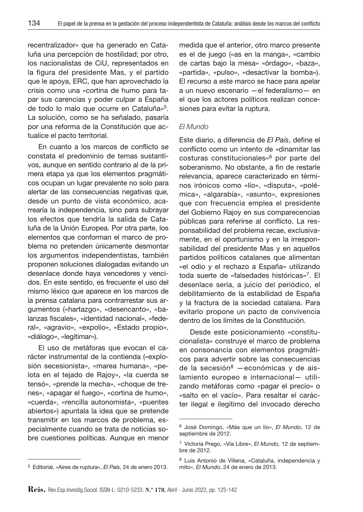recentralizador» que ha generado en Cataluña una percepción de hostilidad; por otro, los nacionalistas de CiU, representados en la figura del presidente Mas, y el partido que le apoya, ERC, que han aprovechado la crisis como una «cortina de humo para tapar sus carencias y poder culpar a España de todo lo malo que ocurre en Cataluña»5. La solución, como se ha señalado, pasaría por una reforma de la Constitución que actualice el pacto territorial.

En cuanto a los marcos de conflicto se constata el predominio de temas sustantivos, aunque en sentido contrario al de la primera etapa ya que los elementos pragmáticos ocupan un lugar prevalente no solo para alertar de las consecuencias negativas que, desde un punto de vista económico, acarrearía la independencia, sino para subrayar los efectos que tendría la salida de Cataluña de la Unión Europea. Por otra parte, los elementos que conforman el marco de problema no pretenden únicamente desmontar los argumentos independentistas, también proponen soluciones dialogadas evitando un desenlace donde haya vencedores y vencidos. En este sentido, es frecuente el uso del mismo léxico que aparece en los marcos de la prensa catalana para contrarrestar sus argumentos («hartazgo», «desencanto», «balanzas fiscales», «identidad nacional», «federal», «agravio», «expolio», «Estado propio», «diálogo», «legitimar»).

El uso de metáforas que evocan el carácter instrumental de la contienda («explosión secesionista», «marea humana», «pelota en el tejado de Rajoy», «la cuerda se tensó», «prende la mecha», «choque de trenes», «apagar el fuego», «cortina de humo», «cuerda», «rencilla autonomista», «puentes abiertos») apuntala la idea que se pretende transmitir en los marcos de problema, especialmente cuando se trata de noticias sobre cuestiones políticas. Aunque en menor

medida que el anterior, otro marco presente es el de juego («as en la manga», «cambio de cartas bajo la mesa» «órdago», «baza», «partida», «pulso», «desactivar la bomba»). El recurso a este marco se hace para apelar a un nuevo escenario —el federalismo— en el que los actores políticos realizan concesiones para evitar la ruptura.

#### *El Mundo*

Este diario, a diferencia de *El País*, define el conflicto como un intento de «dinamitar las costuras constitucionales»6 por parte del soberanismo. No obstante, a fin de restarle relevancia, aparece caracterizado en términos irónicos como «lío», «disputa», «polémica», «algarabía», «asunto», expresiones que con frecuencia emplea el presidente del Gobierno Rajoy en sus comparecencias públicas para referirse al conflicto. La responsabilidad del problema recae, exclusivamente, en el oportunismo y en la irresponsabilidad del presidente Mas y en aquellos partidos políticos catalanes que alimentan «el odio y el rechazo a España» utilizando toda suerte de «falsedades históricas»7. El desenlace sería, a juicio del periódico, el debilitamiento de la estabilidad de España y la fractura de la sociedad catalana. Para evitarlo propone un pacto de convivencia dentro de los límites de la Constitución.

Desde este posicionamiento «constitucionalista*»* construye el marco de problema en consonancia con elementos pragmáticos para advertir sobre las consecuencias de la secesión $8$  -económicas y de aislamiento europeo e internacional— utilizando metáforas como «pagar el precio» o «salto en el vacío». Para resaltar el carácter ilegal e ilegítimo del invocado derecho

<sup>5</sup> Editorial, «Aires de ruptura», *El País*, 24 de enero 2013.

<sup>6</sup> José Domingo, «Más que un lío», *El Mundo*, 12 de septiembre de 2012.

<sup>7</sup> Victoria Prego, «Vía Libre», *El Mundo,* 12 de septiembre de 2012.

<sup>8</sup> Luis Antonio de Villena, «Cataluña, independencia y mito», *El Mundo*, 24 de enero de 2013.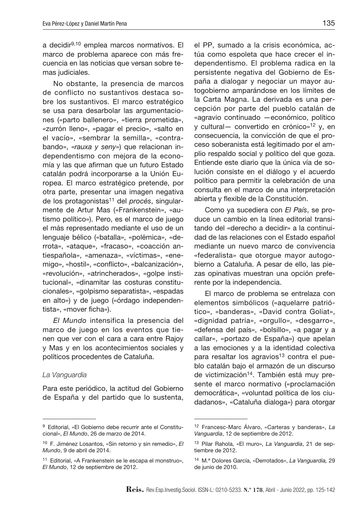a decidir9,10 emplea marcos normativos. El marco de problema aparece con más frecuencia en las noticias que versan sobre temas judiciales.

No obstante, la presencia de marcos de conflicto no sustantivos destaca sobre los sustantivos. El marco estratégico se usa para desarbolar las argumentaciones («parto ballenero», «tierra prometida», «zurrón lleno», «pagar el precio», «salto en el vacío», «sembrar la semilla», «contrabando», «*rauxa y seny*») que relacionan independentismo con mejora de la economía y las que afirman que un futuro Estado catalán podrá incorporarse a la Unión Europea. El marco estratégico pretende, por otra parte, presentar una imagen negativa de los protagonistas11 del *procés*, singularmente de Artur Mas («Frankenstein», «autismo político»). Pero, es el marco de juego el más representado mediante el uso de un lenguaje bélico («batalla», «polémica», «derrota», «ataque», «fracaso», «coacción antiespañola», «amenaza», «víctimas», «enemigo», «hostil», «conflicto», «balcanización», «revolución», «atrincherados», «golpe institucional», «dinamitar las costuras constitucionales», «golpismo separatista», «espadas en alto») y de juego («órdago independentista», «mover ficha»).

*El Mundo* intensifica la presencia del marco de juego en los eventos que tienen que ver con el cara a cara entre Rajoy y Mas y en los acontecimientos sociales y políticos procedentes de Cataluña.

#### *La Vanguardia*

Para este periódico, la actitud del Gobierno de España y del partido que lo sustenta,

el PP, sumado a la crisis económica, actúa como espoleta que hace crecer el independentismo. El problema radica en la persistente negativa del Gobierno de España a dialogar y negociar un mayor autogobierno amparándose en los límites de la Carta Magna. La derivada es una percepción por parte del pueblo catalán de «agravio continuado —económico, político y cultural— convertido en crónico»12 y, en consecuencia, la convicción de que el proceso soberanista está legitimado por el amplio respaldo social y político del que goza. Entiende este diario que la única vía de solución consiste en el diálogo y el acuerdo político para permitir la celebración de una consulta en el marco de una interpretación abierta y flexible de la Constitución.

Como ya sucediera con *El País*, se produce un cambio en la línea editorial transitando del «derecho a decidir» a la continuidad de las relaciones con el Estado español mediante un nuevo marco de convivencia «federalista*»* que otorgue mayor autogobierno a Cataluña. A pesar de ello, las piezas opinativas muestran una opción preferente por la independencia.

El marco de problema se entrelaza con elementos simbólicos («aquelarre patriótico», «banderas», «David contra Goliat», «dignidad patria», «orgullo», «desgarro», «defensa del país», «bolsillo», «a pagar y a callar», «portazo de España») que apelan a las emociones y a la identidad colectiva para resaltar los agravios<sup>13</sup> contra el pueblo catalán bajo el armazón de un discurso de victimización<sup>14</sup>. También está muy presente el marco normativo («proclamación democrática», «voluntad política de los ciudadanos», «Cataluña dialoga») para otorgar

<sup>9</sup> Editorial, «El Gobierno debe recurrir ante el Constitucional», *El Mundo*, 26 de marzo de 2014.

<sup>10</sup> F. Jiménez Losantos, «Sin retorno y sin remedio», *El Mundo*, 9 de abril de 2014.

<sup>11</sup> Editorial, «A Frankenstein se le escapa el monstruo», *El Mundo*, 12 de septiembre de 2012.

<sup>12</sup> Francesc-Marc Álvaro, «Carteras y banderas», *La Vanguardia*, 12 de septiembre de 2012.

<sup>13</sup> Pilar Rahola, «El muro», *La Vanguardia*, 21 de septiembre de 2012.

<sup>14</sup> M.ª Dolores García, «Derrotados», *La Vanguardia,* 29 de junio de 2010.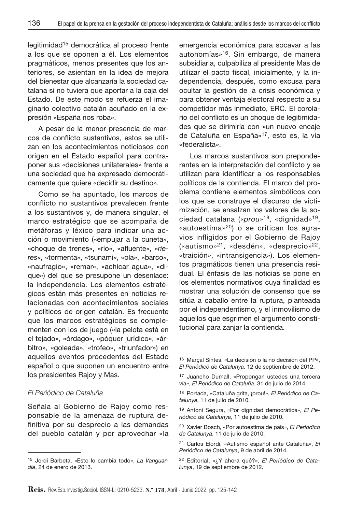legitimidad15 democrática al proceso frente a los que se oponen a él. Los elementos pragmáticos, menos presentes que los anteriores, se asientan en la idea de mejora del bienestar que alcanzaría la sociedad catalana si no tuviera que aportar a la caja del Estado. De este modo se refuerza el imaginario colectivo catalán acuñado en la expresión «España nos roba».

A pesar de la menor presencia de marcos de conflicto sustantivos, estos se utilizan en los acontecimientos noticiosos con origen en el Estado español para contraponer sus «decisiones unilaterales» frente a una sociedad que ha expresado democráticamente que quiere «decidir su destino».

Como se ha apuntado, los marcos de conflicto no sustantivos prevalecen frente a los sustantivos y, de manera singular, el marco estratégico que se acompaña de metáforas y léxico para indicar una acción o movimiento («empujar a la cuneta», «choque de trenes», «río», «afluente», «*rieres*», «tormenta», «tsunami», «ola», «barco», «naufragio», «remar», «achicar agua», «dique») del que se presupone un desenlace: la independencia. Los elementos estratégicos están más presentes en noticias relacionadas con acontecimientos sociales y políticos de origen catalán. Es frecuente que los marcos estratégicos se complementen con los de juego («la pelota está en el tejado», «órdago», «póquer jurídico», «árbitro», «goleada», «trofeo», «triunfador») en aquellos eventos procedentes del Estado español o que suponen un encuentro entre los presidentes Rajoy y Mas.

### *El Periódico de Cataluña*

Señala al Gobierno de Rajoy como responsable de la amenaza de ruptura definitiva por su desprecio a las demandas del pueblo catalán y por aprovechar «la emergencia económica para socavar a las autonomías»16. Sin embargo, de manera subsidiaria, culpabiliza al presidente Mas de utilizar el pacto fiscal, inicialmente, y la independencia, después, como excusa para ocultar la gestión de la crisis económica y para obtener ventaja electoral respecto a su competidor más inmediato, ERC. El corolario del conflicto es un choque de legitimidades que se dirimiría con «un nuevo encaje de Cataluña en España»17, esto es, la vía «federalista*»*.

Los marcos sustantivos son preponderantes en la interpretación del conflicto y se utilizan para identificar a los responsables políticos de la contienda. El marco del problema contiene elementos simbólicos con los que se construye el discurso de victimización, se ensalzan los valores de la sociedad catalana («*prou*»18, «dignidad»19, «autoestima»20) o se critican los agravios infligidos por el Gobierno de Rajoy («autismo»21, «desdén», «desprecio»22, «traición», «intransigencia»). Los elementos pragmáticos tienen una presencia residual. El énfasis de las noticias se pone en los elementos normativos cuya finalidad es mostrar una solución de consenso que se sitúa a caballo entre la ruptura, planteada por el independentismo, y el inmovilismo de aquellos que esgrimen el argumento constitucional para zanjar la contienda.

<sup>15</sup> Jordi Barbeta, «Esto lo cambia todo», *La Vanguardia*, 24 de enero de 2013.

<sup>16</sup> Marçal Sintes, «La decisión o la no decisión del PP», *El Periódico de Catalunya,* 12 de septiembre de 2012.

<sup>17</sup> Juancho Dumall, «Propongan ustedes una tercera vía», *El Periódico de Cataluña*, 31 de julio de 2014.

<sup>18</sup> Portada, «Cataluña grita, ¡prou!», *El Periódico de Catalunya*, 11 de julio de 2010.

<sup>19</sup> Antoni Segura, «Por dignidad democrática», *El Periódico de Catalunya*, 11 de julio de 2010.

<sup>20</sup> Xavier Bosch, «Por autoestima de país», *El Periódico de Catalunya*, 11 de julio de 2010.

<sup>21</sup> Carlos Elordi, «Autismo español ante Cataluña», *El Periódico de Catalunya*, 9 de abril de 2014.

<sup>22</sup> Editorial, «¿Y ahora qué?», *El Periódico de Catalunya*, 19 de septiembre de 2012.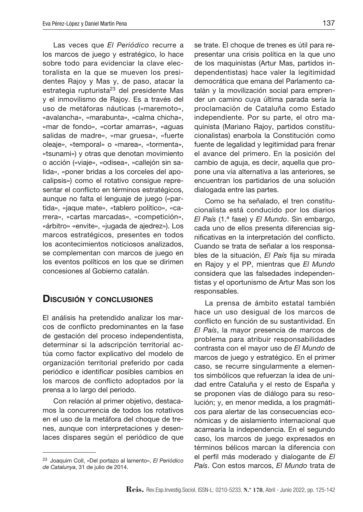Las veces que *El Periódico* recurre a los marcos de juego y estratégico, lo hace sobre todo para evidenciar la clave electoralista en la que se mueven los presidentes Rajoy y Mas y, de paso, atacar la estrategia rupturista<sup>23</sup> del presidente Mas y el inmovilismo de Rajoy. Es a través del uso de metáforas náuticas («maremoto», «avalancha», «marabunta», «calma chicha», «mar de fondo», «cortar amarras», «aguas salidas de madre», «mar gruesa», «fuerte oleaje», «temporal» o «marea», «tormenta», «tsunami») y otras que denotan movimiento o acción («viaje», «odisea», «callejón sin salida», «poner bridas a los corceles del apocalipsis») como el rotativo consigue representar el conflicto en términos estratégicos, aunque no falta el lenguaje de juego («partida», «jaque mate», «tablero político», «carrera», «cartas marcadas», «competición», «árbitro» «envite», «jugada de ajedrez»). Los marcos estratégicos, presentes en todos los acontecimientos noticiosos analizados, se complementan con marcos de juego en los eventos políticos en los que se dirimen concesiones al Gobierno catalán.

# Discusión y conclusiones

El análisis ha pretendido analizar los marcos de conflicto predominantes en la fase de gestación del proceso independentista, determinar si la adscripción territorial actúa como factor explicativo del modelo de organización territorial preferido por cada periódico e identificar posibles cambios en los marcos de conflicto adoptados por la prensa a lo largo del periodo.

Con relación al primer objetivo, destacamos la concurrencia de todos los rotativos en el uso de la metáfora del choque de trenes, aunque con interpretaciones y desenlaces dispares según el periódico de que se trate. El choque de trenes es útil para representar una crisis política en la que uno de los maquinistas (Artur Mas, partidos independentistas) hace valer la legitimidad democrática que emana del Parlamento catalán y la movilización social para emprender un camino cuya última parada sería la proclamación de Cataluña como Estado independiente. Por su parte, el otro maquinista (Mariano Rajoy, partidos constitucionalistas) enarbola la Constitución como fuente de legalidad y legitimidad para frenar el avance del primero. En la posición del cambio de aguja, es decir, aquella que propone una vía alternativa a las anteriores, se encuentran los partidarios de una solución dialogada entre las partes.

Como se ha señalado, el tren constitucionalista está conducido por los diarios *El País* (1.ª fase) y *El Mundo*. Sin embargo, cada uno de ellos presenta diferencias significativas en la interpretación del conflicto. Cuando se trata de señalar a los responsables de la situación, *El País* fija su mirada en Rajoy y el PP, mientras que *El Mundo*  considera que las falsedades independentistas y el oportunismo de Artur Mas son los responsables.

La prensa de ámbito estatal también hace un uso desigual de los marcos de conflicto en función de su sustantividad. En *El País*, la mayor presencia de marcos de problema para atribuir responsabilidades contrasta con el mayor uso de *El Mundo* de marcos de juego y estratégico. En el primer caso, se recurre singularmente a elementos simbólicos que refuerzan la idea de unidad entre Cataluña y el resto de España y se proponen vías de diálogo para su resolución; y, en menor medida, a los pragmáticos para alertar de las consecuencias económicas y de aislamiento internacional que acarrearía la independencia. En el segundo caso, los marcos de juego expresados en términos bélicos marcan la diferencia con el perfil más moderado y dialogante de *El País*. Con estos marcos, *El Mundo* trata de

<sup>23</sup> Joaquim Coll, «Del portazo al lamento», *El Periódico de Catalunya*, 31 de julio de 2014.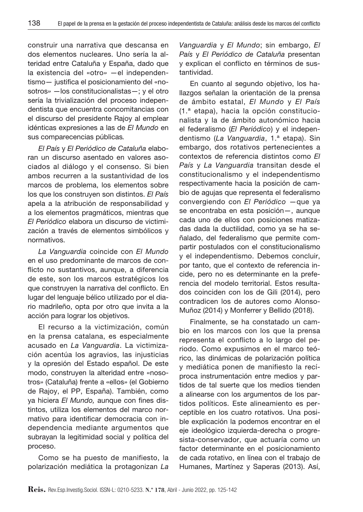construir una narrativa que descansa en dos elementos nucleares. Uno sería la alteridad entre Cataluña y España, dado que la existencia del «otro*»* —el independentismo— justifica el posicionamiento del «nosotros*»* —los constitucionalistas—; y el otro sería la trivialización del proceso independentista que encuentra concomitancias con el discurso del presidente Rajoy al emplear idénticas expresiones a las de *El Mundo* en sus comparecencias públicas*.* 

*El País* y *El Periódico de Cataluña* elaboran un discurso asentado en valores asociados al diálogo y el consenso. Si bien ambos recurren a la sustantividad de los marcos de problema, los elementos sobre los que los construyen son distintos. *El País* apela a la atribución de responsabilidad y a los elementos pragmáticos, mientras que *El Periódico* elabora un discurso de victimización a través de elementos simbólicos y normativos.

*La Vanguardia* coincide con *El Mundo* en el uso predominante de marcos de conflicto no sustantivos, aunque, a diferencia de este, son los marcos estratégicos los que construyen la narrativa del conflicto. En lugar del lenguaje bélico utilizado por el diario madrileño, opta por otro que invita a la acción para lograr los objetivos.

El recurso a la victimización, común en la prensa catalana, es especialmente acusado en *La Vanguardia*. La victimización acentúa los agravios, las injusticias y la opresión del Estado español. De este modo, construyen la alteridad entre «nosotros*»* (Cataluña) frente a «ellos*»* (el Gobierno de Rajoy, el PP, España). También, como ya hiciera *El Mundo,* aunque con fines distintos, utiliza los elementos del marco normativo para identificar democracia con independencia mediante argumentos que subrayan la legitimidad social y política del proceso.

Como se ha puesto de manifiesto, la polarización mediática la protagonizan *La* 

*Vanguardia* y *El Mundo*; sin embargo, *El País* y *El Periódico de Cataluña* presentan y explican el conflicto en términos de sustantividad.

En cuanto al segundo objetivo, los hallazgos señalan la orientación de la prensa de ámbito estatal, *El Mundo* y *El País* (1.ª etapa), hacia la opción constitucionalista y la de ámbito autonómico hacia el federalismo (*El Periódico*) y el independentismo (*La Vanguardia*, 1.ª etapa). Sin embargo, dos rotativos pertenecientes a contextos de referencia distintos como *El País* y *La Vanguardia* transitan desde el constitucionalismo y el independentismo respectivamente hacia la posición de cambio de agujas que representa el federalismo convergiendo con *El Periódico* —que ya se encontraba en esta posición—, aunque cada uno de ellos con posiciones matizadas dada la ductilidad, como ya se ha señalado, del federalismo que permite compartir postulados con el constitucionalismo y el independentismo. Debemos concluir, por tanto, que el contexto de referencia incide, pero no es determinante en la preferencia del modelo territorial. Estos resultados coinciden con los de Gili (2014), pero contradicen los de autores como Alonso-Muñoz (2014) y Monferrer y Bellido (2018).

Finalmente, se ha constatado un cambio en los marcos con los que la prensa representa el conflicto a lo largo del periodo. Como expusimos en el marco teórico, las dinámicas de polarización política y mediática ponen de manifiesto la recíproca instrumentación entre medios y partidos de tal suerte que los medios tienden a alinearse con los argumentos de los partidos políticos. Este alineamiento es perceptible en los cuatro rotativos. Una posible explicación la podemos encontrar en el eje ideológico izquierda-derecha o progresista-conservador, que actuaría como un factor determinante en el posicionamiento de cada rotativo, en línea con el trabajo de Humanes, Martínez y Saperas (2013). Así,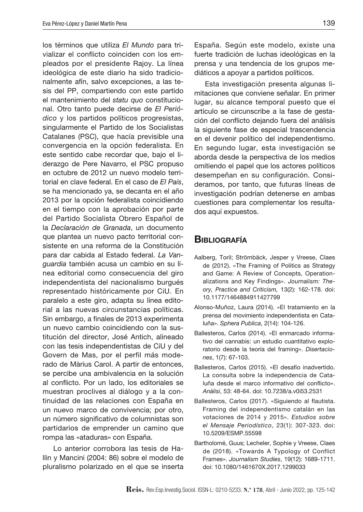los términos que utiliza *El Mundo* para trivializar el conflicto coinciden con los empleados por el presidente Rajoy. La línea ideológica de este diario ha sido tradicionalmente afín, salvo excepciones, a las tesis del PP, compartiendo con este partido el mantenimiento del *statu quo* constitucional. Otro tanto puede decirse de *El Periódico* y los partidos políticos progresistas, singularmente el Partido de los Socialistas Catalanes (PSC), que hacía previsible una convergencia en la opción federalista. En este sentido cabe recordar que, bajo el liderazgo de Pere Navarro, el PSC propuso en octubre de 2012 un nuevo modelo territorial en clave federal. En el caso de *El País*, se ha mencionado ya, se decanta en el año 2013 por la opción federalista coincidiendo en el tiempo con la aprobación por parte del Partido Socialista Obrero Español de la *Declaración de Granada*, un documento que plantea un nuevo pacto territorial consistente en una reforma de la Constitución para dar cabida al Estado federal. *La Vanguardia* también acusa un cambio en su línea editorial como consecuencia del giro independentista del nacionalismo burgués representado históricamente por CiU. En paralelo a este giro, adapta su línea editorial a las nuevas circunstancias políticas. Sin embargo, a finales de 2013 experimenta un nuevo cambio coincidiendo con la sustitución del director, José Antich, alineado con las tesis independentistas de CiU y del Govern de Mas, por el perfil más moderado de Màrius Carol. A partir de entonces, se percibe una ambivalencia en la solución al conflicto. Por un lado, los editoriales se muestran proclives al diálogo y a la continuidad de las relaciones con España en un nuevo marco de convivencia; por otro, un número significativo de columnistas son partidarios de emprender un camino que rompa las «ataduras» con España.

Lo anterior corrobora las tesis de Hallin y Mancini (2004: 86) sobre el modelo de pluralismo polarizado en el que se inserta

España. Según este modelo, existe una fuerte tradición de luchas ideológicas en la prensa y una tendencia de los grupos mediáticos a apoyar a partidos políticos.

Esta investigación presenta algunas limitaciones que conviene señalar. En primer lugar, su alcance temporal puesto que el artículo se circunscribe a la fase de gestación del conflicto dejando fuera del análisis la siguiente fase de especial trascendencia en el devenir político del independentismo. En segundo lugar, esta investigación se aborda desde la perspectiva de los medios omitiendo el papel que los actores políticos desempeñan en su configuración. Consideramos, por tanto, que futuras líneas de investigación podrían detenerse en ambas cuestiones para complementar los resultados aquí expuestos.

## **BIBLIOGRAFÍA**

- Aalberg, Toril; Strömbäck, Jesper y Vreese, Claes de (2012). «The Framing of Politics as Strategy and Game: A Review of Concepts, Operationalizations and Key Findings». *Journalism: Theory, Practice and Criticism,* 13(2): 162-178*.* doi: 10.1177/1464884911427799
- Alonso-Muñoz, Laura (2014). «El tratamiento en la prensa del movimiento independentista en Cataluña». *Sphera Publica*, 2(14): 104-126.
- Ballesteros, Carlos (2014). «El enmarcado informativo del cannabis: un estudio cuantitativo exploratorio desde la teoría del framing». *Disertaciones*, 1(7): 67-103.
- Ballesteros, Carlos (2015). «El desafío inadvertido. La consulta sobre la independencia de Cataluña desde el marco informativo del conflicto». *Anàlisi*, 53: 48-64. doi: 10.7238/a.v0i53.2531
- Ballesteros, Carlos (2017). «Siguiendo al flautista. Framing del independentismo catalán en las votaciones de 2014 y 2015». *Estudios sobre el Mensaje Periodístico*, 23(1): 307-323. doi: 10.5209/ESMP.55598
- Bartholomé, Guus; Lecheler, Sophie y Vreese, Claes de (2018). «Towards A Typology of Conflict Frames». *Journalism Studies*, 19(12): 1689-1711. doi: 10.1080/1461670X.2017.1299033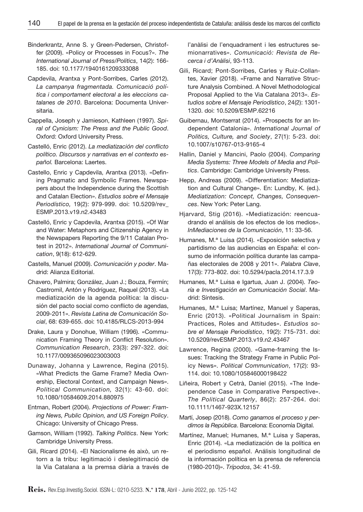Binderkrantz, Anne S. y Green-Pedersen, Christoffer (2009). «Policy or Processes in Focus?». *The International Journal of Press/Politics*, 14(2): 166- 185. doi: 10.1177/1940161209333088

- Capdevila, Arantxa y Pont-Sorribes, Carles (2012). *La campanya fragmentada. Comunicació política i comportament electoral a les eleccions catalanes de 2010*. Barcelona: Documenta Universitaria.
- Cappella, Joseph y Jamieson, Kathleen (1997). *Spiral of Cynicism: The Press and the Public Good*. Oxford: Oxford University Press.
- Castelló, Enric (2012). *La mediatización del conflicto político. Discursos y narrativas en el contexto español.* Barcelona: Laertes.
- Castello, Enric y Capdevila, Arantxa (2013). «Defining Pragmatic and Symbolic Frames. Newspapers about the Independence during the Scottish and Catalan Election». *Estudios sobre el Mensaje Periodístico,* 19(2): 979-999. doi: 10.5209/rev\_ ESMP.2013.v19.n2.43483
- Castelló, Enric y Capdevila, Arantxa (2015). «Of War and Water: Metaphors and Citizenship Agency in the Newspapers Reporting the 9/11 Catalan Protest in 2012». *International Journal of Communication*, 9(18): 612-629.
- Castells, Manuel (2009). *Comunicación y poder*. Madrid: Alianza Editorial.
- Chavero, Palmira; González, Juan J.; Bouza, Fermín; Castromil, Antón y Rodríguez, Raquel (2013). «La mediatización de la agenda política: la discusión del pacto social como conflicto de agendas, 2009-2011». *Revista Latina de Comunicación Social*, 68: 639-655. doi: 10.4185/RLCS-2013-994
- Drake, Laura y Donohue, William (1996). «Communication Framing Theory in Conflict Resolution». *Communication Research*, 23(3): 297-322. doi: 10.1177/009365096023003003
- Dunaway, Johanna y Lawrence, Regina (2015). «What Predicts the Game Frame? Media Ownership, Electoral Context, and Campaign News». *Political Communication,* 32(1): 43-60. doi: 10.1080/10584609.2014.880975
- Entman, Robert (2004). *Projections of Power: Framing News, Public Opinion, and US Foreign Policy*. Chicago: University of Chicago Press.
- Gamson, William (1992). *Talking Politics*. New York: Cambridge University Press.
- Gili, Ricard (2014). «El Nacionalisme és això, un retorn a la tribu: legitimació i deslegitimació de la Via Catalana a la premsa diària a través de

l'anàlisi de l'enquadrament i les estructures semionarratives». *Comunicació: Revista de Recerca i d'Anàlisi*, 93-113.

- Gili, Ricard; Pont-Sorribes, Carles y Ruiz-Collantes, Xavier (2018). «Frame and Narrative Structure Analysis Combined. A Novel Methodological Proposal Applied to the Via Catalana 2013». *Estudios sobre el Mensaje Periodístico*, 24(2): 1301- 1320. doi: 10.5209/ESMP.62216
- Guibernau, Montserrat (2014). «Prospects for an Independent Catalonia». *International Journal of Politics, Culture, and Society*, 27(1): 5-23. doi: 10.1007/s10767-013-9165-4
- Hallin, Daniel y Mancini, Paolo (2004). *Comparing Media Systems: Three Models of Media and Politics*. Cambridge: Cambridge University Press.
- Hepp, Andreas (2009). «Differentiation: Mediatization and Cultural Change». En: Lundby, K. (ed.). *Mediatization: Concept, Changes, Consequences*. New York: Peter Lang.
- Hjarvard, Stig (2016). «Mediatización: reencuadrando el análisis de los efectos de los medios». *InMediaciones de la Comunicación*, 11: 33-56.
- Humanes, M.ª Luisa (2014). «Exposición selectiva y partidismo de las audiencias en España: el consumo de información política durante las campañas electorales de 2008 y 2011». *Palabra Clave*, 17(3): 773-802. doi: 10.5294/pacla.2014.17.3.9
- Humanes, M.ª Luisa e Igartua, Juan J. (2004). *Teoría e Investigación en Comunicación Social*. Madrid: Síntesis.
- Humanes, M.ª Luisa; Martínez, Manuel y Saperas, Enric (2013). «Political Journalism in Spain: Practices, Roles and Attitudes». *Estudios sobre el Mensaje Periodístico*, 19(2): 715-731. doi: 10.5209/revESMP.2013.v19.n2.43467
- Lawrence, Regina (2000). «Game-framing the Issues: Tracking the Strategy Frame in Public Policy News». *Political Communication*, 17(2): 93- 114. doi: 10.1080/105846000198422
- Liñeira, Robert y Cetrà, Daniel (2015). «The Independence Case in Comparative Perspective». *The Political Quarterly*, 86(2): 257-264. doi: 10.1111/1467-923X.12157
- Martí, Josep (2018). *Como ganamos el proceso y perdimos la República*. Barcelona: Economía Digital.
- Martínez, Manuel; Humanes, M.ª Luisa y Saperas, Enric (2014). «La mediatización de la política en el periodismo español. Análisis longitudinal de la información política en la prensa de referencia (1980-2010)». *Trípodos*, 34: 41-59.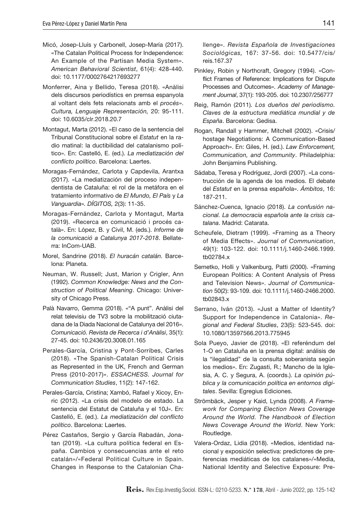- Micó, Josep-Lluís y Carbonell, Josep-María (2017). «The Catalan Political Process for Independence: An Example of the Partisan Media System». *American Behavioral Scientist*, 61(4): 428-440. doi: 10.1177/0002764217693277
- Monferrer, Aina y Bellido, Teresa (2018). «Anàlisi dels discursos periodístics en premsa espanyola al voltant dels fets relacionats amb el *procés*». *Cultura, Lenguaje Representación,* 20: 95-111. doi: 10.6035/clr.2018.20.7
- Montagut, Marta (2012). «El caso de la sentencia del Tribunal Constitucional sobre el *Estatut* en la radio matinal: la ductibilidad del catalanismo político». En: Castelló, E. (ed.). *La mediatización del conflicto político*. Barcelona: Laertes.
- Moragas-Fernández, Carlota y Capdevila, Arantxa (2017). «La mediatización del proceso independentista de Cataluña: el rol de la metáfora en el tratamiento informativo de *El Mundo, El País* y *La Vanguardia*»*. DÍGITOS,* 2(3): 11-35.
- Moragas-Fernández, Carlota y Montagut, Marta (2019). «Recerca en comunicació i procés català». En: López, B. y Civil, M. (eds.). *Informe de la comunicació a Catalunya 2017-2018*. Bellaterra: InCom-UAB.
- Morel, Sandrine (2018). *El huracán catalán.* Barcelona: Planeta.
- Neuman, W. Russell; Just, Marion y Crigler, Ann (1992). *Common Knowledge: News and the Construction of Political Meaning*. Chicago: University of Chicago Press.
- Palà Navarro, Gemma (2018). «"A punt". Anàlisi del relat televisiu de TV3 sobre la mobilització ciutadana de la Diada Nacional de Catalunya del 2016». *Comunicació. Revista de Recerca i d'Anàlisi*, 35(1): 27-45. doi: 10.2436/20.3008.01.165
- Perales-García, Cristina y Pont-Sorribes, Carles (2018). «The Spanish-Catalan Political Crisis as Represented in the UK, French and German Press (2010-2017)». *ESSACHESS. Journal for Communication Studies*, 11(2): 147-162.
- Perales-García, Cristina; Xambó, Rafael y Xicoy, Enric (2012). «La crisis del modelo de estado. La sentencia del Estatut de Cataluña y el 10J». En: Castelló, E. (ed.). *La mediatización del conflicto político*. Barcelona: Laertes.
- Pérez Castaños, Sergio y García Rabadán, Jonatan (2019). «La cultura política federal en España. Cambios y consecuencias ante el reto catalán»/«Federal Political Culture in Spain. Changes in Response to the Catalonian Cha-

llenge». *Revista Española de Investigaciones Sociológicas,* 167: 37-56. doi: 10.5477/cis/ reis.167.37

- Pinkley, Robin y Northcraft, Gregory (1994). «Conflict Frames of Reference: Implications for Dispute Processes and Outcomes». *Academy of Management Journal*, 37(1): 193-205. doi: 10.2307/256777
- Reig, Ramón (2011)*. Los dueños del periodismo. Claves de la estructura mediática mundial y de España*. Barcelona: Gedisa.
- Rogan, Randall y Hammer, Mitchell (2002). «Crisis/ hostage Negotiations: A Communication-Based Approach». En: Giles, H. (ed.). *Law Enforcement, Communication, and Community*. Philadelphia: John Benjamins Publishing.
- Sádaba, Teresa y Rodríguez, Jordi (2007). «La construcción de la agenda de los medios. El debate del *Estatut* en la prensa española». *Ámbitos*, 16: 187-211.
- Sánchez-Cuenca, Ignacio (2018). *La confusión nacional. La democracia española ante la crisis catalana*. Madrid: Catarata.
- Scheufele, Dietram (1999). «Framing as a Theory of Media Effects». *Journal of Communication*, 49(1): 103-122. doi: 10.1111/j.1460-2466.1999. tb02784.x
- Semetko, Holli y Valkenburg, Patti (2000). «Framing European Politics: A Content Analysis of Press and Television News». *Journal of Communication* 50(2): 93-109. doi: 10.1111/j.1460-2466.2000. tb02843.x
- Serrano, Iván (2013). «Just a Matter of Identity? Support for Independence in Catalonia». *Regional and Federal Studies*, 23(5): 523-545. doi: 10.1080/13597566.2013.775945
- Sola Pueyo, Javier de (2018). «El referéndum del 1-O en Cataluña en la prensa digital: análisis de la "ilegalidad" de la consulta soberanista según los medios». En: Zugasti, R.; Mancho de la Iglesia, A. C. y Segura, A. (coords.). *La opinión pública y la comunicación política en entornos digitales*. Sevilla: Egregius Ediciones.
- Strömbäck, Jesper y Kaid, Lynda (2008). *A Framework for Comparing Election News Coverage Around the World. The Handbook of Election News Coverage Around the World*. New York: Routledge.
- Valera-Ordaz, Lidia (2018). «Medios, identidad nacional y exposición selectiva: predictores de preferencias mediáticas de los catalanes»/«Media, National Identity and Selective Exposure: Pre-